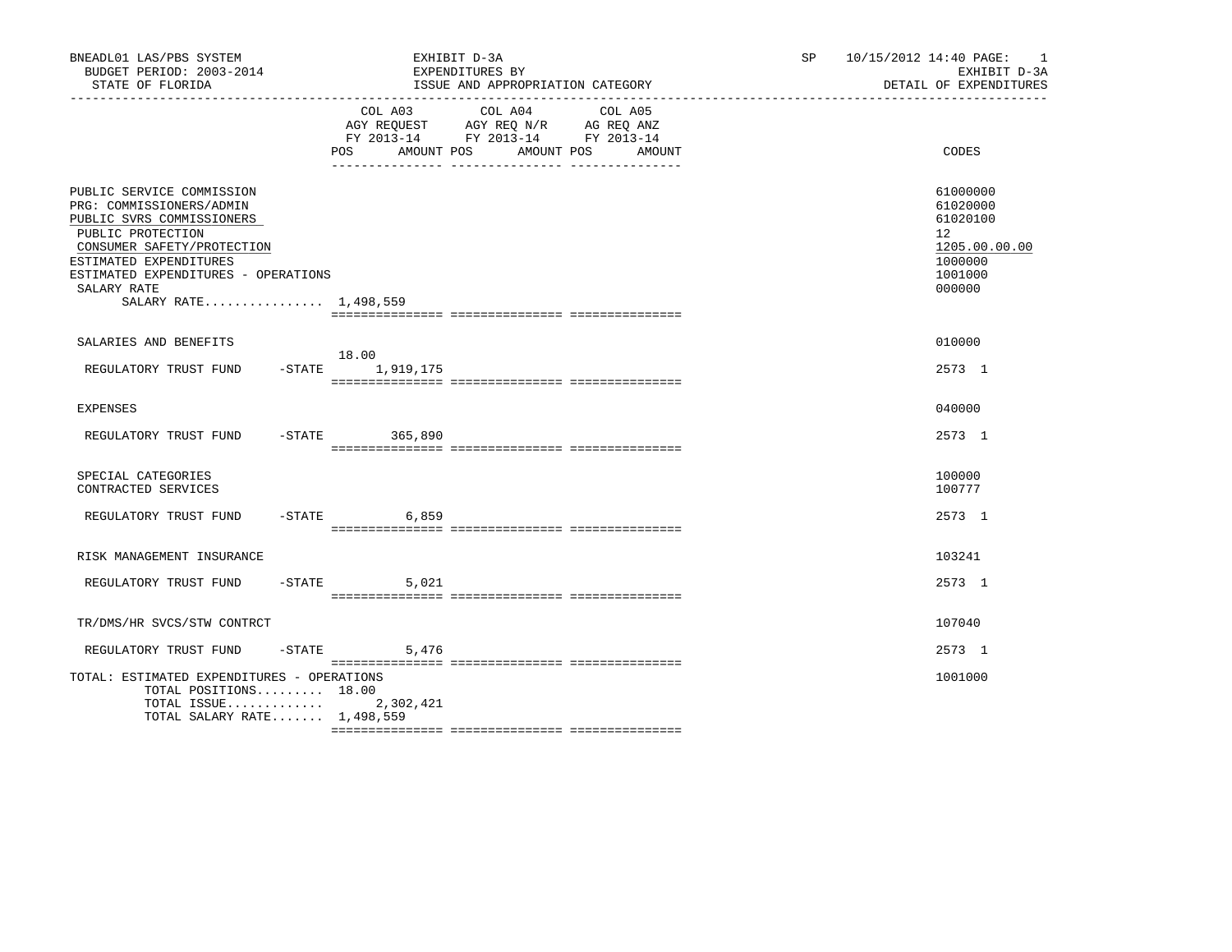| BNEADL01 LAS/PBS SYSTEM<br>BUDGET PERIOD: 2003-2014<br>STATE OF FLORIDA                                                                                                                                                                        | EXHIBIT D-3A<br>EXPENDITURES BY<br>ISSUE AND APPROPRIATION CATEGORY                                                                         | SP 10/15/2012 14:40 PAGE: 1<br>EXHIBIT D-3A<br>DETAIL OF EXPENDITURES                   |
|------------------------------------------------------------------------------------------------------------------------------------------------------------------------------------------------------------------------------------------------|---------------------------------------------------------------------------------------------------------------------------------------------|-----------------------------------------------------------------------------------------|
|                                                                                                                                                                                                                                                | COL A03 COL A04<br>COL A05<br>AGY REQUEST AGY REQ N/R AG REQ ANZ<br>FY 2013-14 FY 2013-14 FY 2013-14<br>AMOUNT POS AMOUNT POS AMOUNT<br>POS | <b>CODES</b>                                                                            |
| PUBLIC SERVICE COMMISSION<br>PRG: COMMISSIONERS/ADMIN<br>PUBLIC SVRS COMMISSIONERS<br>PUBLIC PROTECTION<br>CONSUMER SAFETY/PROTECTION<br>ESTIMATED EXPENDITURES<br>ESTIMATED EXPENDITURES - OPERATIONS<br>SALARY RATE<br>SALARY RATE 1,498,559 |                                                                                                                                             | 61000000<br>61020000<br>61020100<br>12<br>1205.00.00.00<br>1000000<br>1001000<br>000000 |
| SALARIES AND BENEFITS                                                                                                                                                                                                                          |                                                                                                                                             | 010000                                                                                  |
| REGULATORY TRUST FUND -STATE 1,919,175                                                                                                                                                                                                         | 18.00                                                                                                                                       | 2573 1                                                                                  |
| <b>EXPENSES</b>                                                                                                                                                                                                                                |                                                                                                                                             | 040000                                                                                  |
| REGULATORY TRUST FUND                                                                                                                                                                                                                          | $-STATE$ 365,890                                                                                                                            | 2573 1                                                                                  |
| SPECIAL CATEGORIES<br>CONTRACTED SERVICES                                                                                                                                                                                                      |                                                                                                                                             | 100000<br>100777                                                                        |
| REGULATORY TRUST FUND                                                                                                                                                                                                                          | $-$ STATE 6,859                                                                                                                             | 2573 1                                                                                  |
| RISK MANAGEMENT INSURANCE                                                                                                                                                                                                                      |                                                                                                                                             | 103241                                                                                  |
| REGULATORY TRUST FUND                                                                                                                                                                                                                          | $-STATE$ 5,021                                                                                                                              | 2573 1                                                                                  |
| TR/DMS/HR SVCS/STW CONTRCT                                                                                                                                                                                                                     |                                                                                                                                             | 107040                                                                                  |
| REGULATORY TRUST FUND                                                                                                                                                                                                                          | $-$ STATE 5,476                                                                                                                             | 2573 1                                                                                  |
| TOTAL: ESTIMATED EXPENDITURES - OPERATIONS<br>TOTAL POSITIONS 18.00<br>TOTAL ISSUE $2,302,421$<br>TOTAL SALARY RATE 1,498,559                                                                                                                  |                                                                                                                                             | 1001000                                                                                 |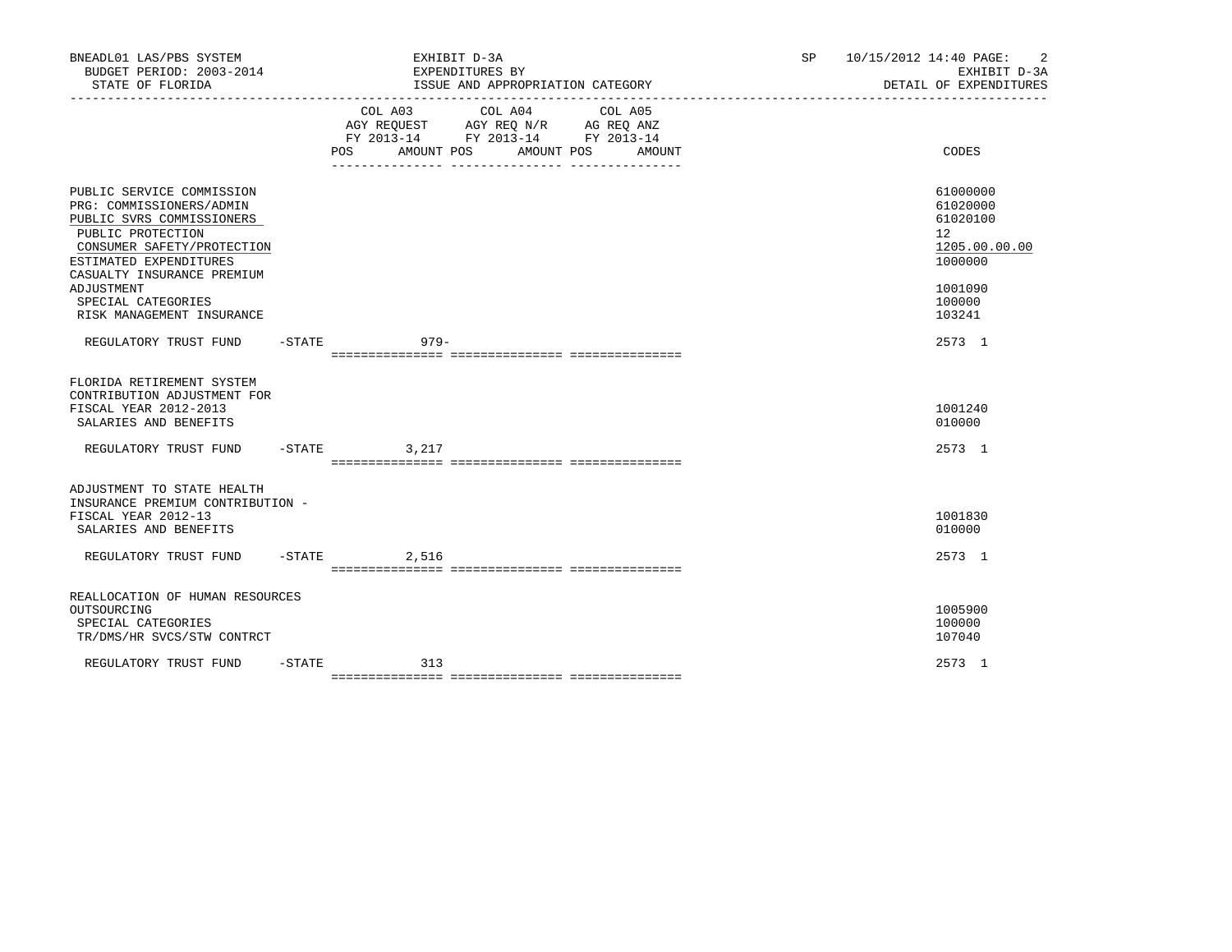| BNEADL01 LAS/PBS SYSTEM<br>BUDGET PERIOD: 2003-2014<br>STATE OF FLORIDA                                                                                                                                                                                        |           |                              | EXHIBIT D-3A<br>EXPENDITURES BY<br>ISSUE AND APPROPRIATION CATEGORY                                                                                                               |                                 | SP and the set of the set of the set of the set of the set of the set of the set of the set of the set of the set of the set of the set of the set of the set of the set of the set of the set of the set of the set of the se | 10/15/2012 14:40 PAGE: | 2<br>EXHIBIT D-3A<br>DETAIL OF EXPENDITURES                                                       |
|----------------------------------------------------------------------------------------------------------------------------------------------------------------------------------------------------------------------------------------------------------------|-----------|------------------------------|-----------------------------------------------------------------------------------------------------------------------------------------------------------------------------------|---------------------------------|--------------------------------------------------------------------------------------------------------------------------------------------------------------------------------------------------------------------------------|------------------------|---------------------------------------------------------------------------------------------------|
|                                                                                                                                                                                                                                                                |           | COL A03<br>POS<br>AMOUNT POS | COL A04<br>$\begin{tabular}{lllllll} AGY & \texttt{REQUEST} & \texttt{AGY REQ} & \texttt{N/R} & \texttt{AG REQ} & \texttt{ANZ} \end{tabular}$<br>FY 2013-14 FY 2013-14 FY 2013-14 | COL A05<br>AMOUNT POS<br>AMOUNT |                                                                                                                                                                                                                                |                        | CODES                                                                                             |
| PUBLIC SERVICE COMMISSION<br>PRG: COMMISSIONERS/ADMIN<br>PUBLIC SVRS COMMISSIONERS<br>PUBLIC PROTECTION<br>CONSUMER SAFETY/PROTECTION<br>ESTIMATED EXPENDITURES<br>CASUALTY INSURANCE PREMIUM<br>ADJUSTMENT<br>SPECIAL CATEGORIES<br>RISK MANAGEMENT INSURANCE |           |                              |                                                                                                                                                                                   |                                 |                                                                                                                                                                                                                                |                        | 61000000<br>61020000<br>61020100<br>12<br>1205.00.00.00<br>1000000<br>1001090<br>100000<br>103241 |
| REGULATORY TRUST FUND -STATE 6979-                                                                                                                                                                                                                             |           |                              |                                                                                                                                                                                   |                                 |                                                                                                                                                                                                                                |                        | 2573 1                                                                                            |
| FLORIDA RETIREMENT SYSTEM<br>CONTRIBUTION ADJUSTMENT FOR<br>FISCAL YEAR 2012-2013<br>SALARIES AND BENEFITS                                                                                                                                                     |           |                              |                                                                                                                                                                                   |                                 |                                                                                                                                                                                                                                |                        | 1001240<br>010000                                                                                 |
| REGULATORY TRUST FUND                                                                                                                                                                                                                                          |           | $-$ STATE<br>3,217           |                                                                                                                                                                                   |                                 |                                                                                                                                                                                                                                |                        | 2573 1                                                                                            |
| ADJUSTMENT TO STATE HEALTH<br>INSURANCE PREMIUM CONTRIBUTION -<br>FISCAL YEAR 2012-13<br>SALARIES AND BENEFITS<br>REGULATORY TRUST FUND                                                                                                                        |           | $-STATE$<br>2,516            |                                                                                                                                                                                   |                                 |                                                                                                                                                                                                                                |                        | 1001830<br>010000<br>2573 1                                                                       |
|                                                                                                                                                                                                                                                                |           |                              |                                                                                                                                                                                   |                                 |                                                                                                                                                                                                                                |                        |                                                                                                   |
| REALLOCATION OF HUMAN RESOURCES<br>OUTSOURCING<br>SPECIAL CATEGORIES<br>TR/DMS/HR SVCS/STW CONTRCT                                                                                                                                                             |           |                              |                                                                                                                                                                                   |                                 |                                                                                                                                                                                                                                |                        | 1005900<br>100000<br>107040                                                                       |
| REGULATORY TRUST FUND                                                                                                                                                                                                                                          | $-$ STATE | 313                          |                                                                                                                                                                                   |                                 |                                                                                                                                                                                                                                |                        | 2573 1                                                                                            |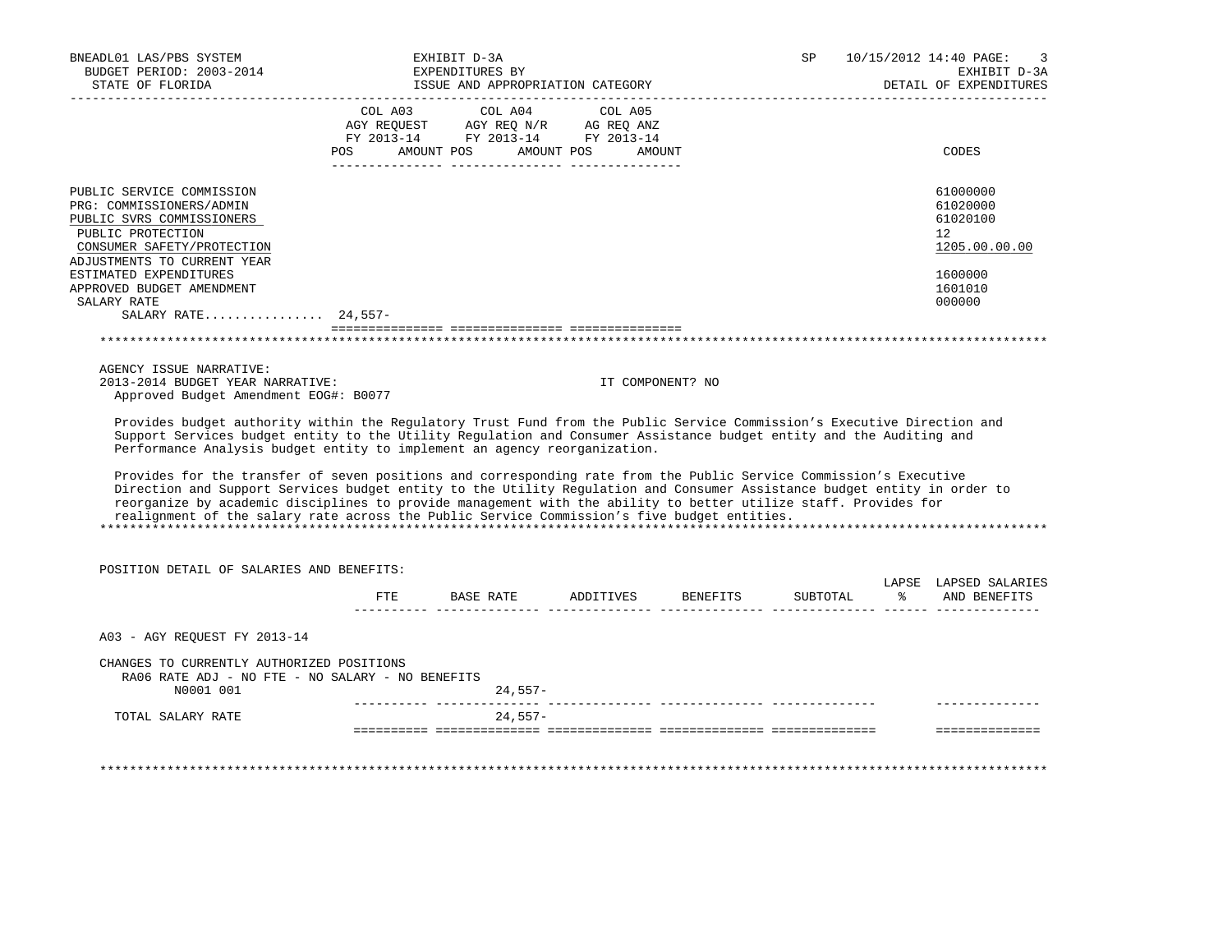| BNEADL01 LAS/PBS SYSTEM<br>BUDGET PERIOD: 2003-2014<br>STATE OF FLORIDA                                                                                                                                                                                                                                                                                                                                                                                                                                                                                                                                                                                                                                                                                                                                                                                                                                                                              |            | EXHIBIT D-3A<br>EXPENDITURES BY<br>ISSUE AND APPROPRIATION CATEGORY                                                                                        |                  | SP       | 10/15/2012 14:40 PAGE:<br>EXHIBIT D-3A<br>DETAIL OF EXPENDITURES                        |
|------------------------------------------------------------------------------------------------------------------------------------------------------------------------------------------------------------------------------------------------------------------------------------------------------------------------------------------------------------------------------------------------------------------------------------------------------------------------------------------------------------------------------------------------------------------------------------------------------------------------------------------------------------------------------------------------------------------------------------------------------------------------------------------------------------------------------------------------------------------------------------------------------------------------------------------------------|------------|------------------------------------------------------------------------------------------------------------------------------------------------------------|------------------|----------|-----------------------------------------------------------------------------------------|
|                                                                                                                                                                                                                                                                                                                                                                                                                                                                                                                                                                                                                                                                                                                                                                                                                                                                                                                                                      |            | $\begin{tabular}{lcccc} COL A03 & COL A04 & COL A05 \\ AGY REQUEST & AGY REQ N/R & AG REQ ANZ \\ FY & 2013-14 & FY & 2013-14 & FY & 2013-14 \end{tabular}$ |                  |          |                                                                                         |
|                                                                                                                                                                                                                                                                                                                                                                                                                                                                                                                                                                                                                                                                                                                                                                                                                                                                                                                                                      | <b>POS</b> | AMOUNT POS AMOUNT POS                                                                                                                                      | AMOUNT           |          | CODES                                                                                   |
| PUBLIC SERVICE COMMISSION<br>PRG: COMMISSIONERS/ADMIN<br>PUBLIC SVRS COMMISSIONERS<br>PUBLIC PROTECTION<br>CONSUMER SAFETY/PROTECTION<br>ADJUSTMENTS TO CURRENT YEAR<br>ESTIMATED EXPENDITURES<br>APPROVED BUDGET AMENDMENT<br>SALARY RATE                                                                                                                                                                                                                                                                                                                                                                                                                                                                                                                                                                                                                                                                                                           |            |                                                                                                                                                            |                  |          | 61000000<br>61020000<br>61020100<br>12<br>1205.00.00.00<br>1600000<br>1601010<br>000000 |
| SALARY RATE 24,557-                                                                                                                                                                                                                                                                                                                                                                                                                                                                                                                                                                                                                                                                                                                                                                                                                                                                                                                                  |            |                                                                                                                                                            |                  |          |                                                                                         |
|                                                                                                                                                                                                                                                                                                                                                                                                                                                                                                                                                                                                                                                                                                                                                                                                                                                                                                                                                      |            |                                                                                                                                                            |                  |          |                                                                                         |
| AGENCY ISSUE NARRATIVE:<br>2013-2014 BUDGET YEAR NARRATIVE:<br>Approved Budget Amendment EOG#: B0077<br>Provides budget authority within the Regulatory Trust Fund from the Public Service Commission's Executive Direction and<br>Support Services budget entity to the Utility Regulation and Consumer Assistance budget entity and the Auditing and<br>Performance Analysis budget entity to implement an agency reorganization.<br>Provides for the transfer of seven positions and corresponding rate from the Public Service Commission's Executive<br>Direction and Support Services budget entity to the Utility Regulation and Consumer Assistance budget entity in order to<br>reorganize by academic disciplines to provide management with the ability to better utilize staff. Provides for<br>realignment of the salary rate across the Public Service Commission's five budget entities.<br>POSITION DETAIL OF SALARIES AND BENEFITS: |            | FTE BASE RATE ADDITIVES BENEFITS                                                                                                                           | IT COMPONENT? NO | SUBTOTAL | LAPSE LAPSED SALARIES<br>% AND BENEFITS                                                 |
| A03 - AGY REOUEST FY 2013-14                                                                                                                                                                                                                                                                                                                                                                                                                                                                                                                                                                                                                                                                                                                                                                                                                                                                                                                         |            |                                                                                                                                                            |                  |          |                                                                                         |
| CHANGES TO CURRENTLY AUTHORIZED POSITIONS<br>RA06 RATE ADJ - NO FTE - NO SALARY - NO BENEFITS<br>N0001 001                                                                                                                                                                                                                                                                                                                                                                                                                                                                                                                                                                                                                                                                                                                                                                                                                                           |            | $24,557-$                                                                                                                                                  |                  |          |                                                                                         |
| TOTAL SALARY RATE                                                                                                                                                                                                                                                                                                                                                                                                                                                                                                                                                                                                                                                                                                                                                                                                                                                                                                                                    |            | 24,557-                                                                                                                                                    |                  |          | ===============                                                                         |
|                                                                                                                                                                                                                                                                                                                                                                                                                                                                                                                                                                                                                                                                                                                                                                                                                                                                                                                                                      |            |                                                                                                                                                            |                  |          |                                                                                         |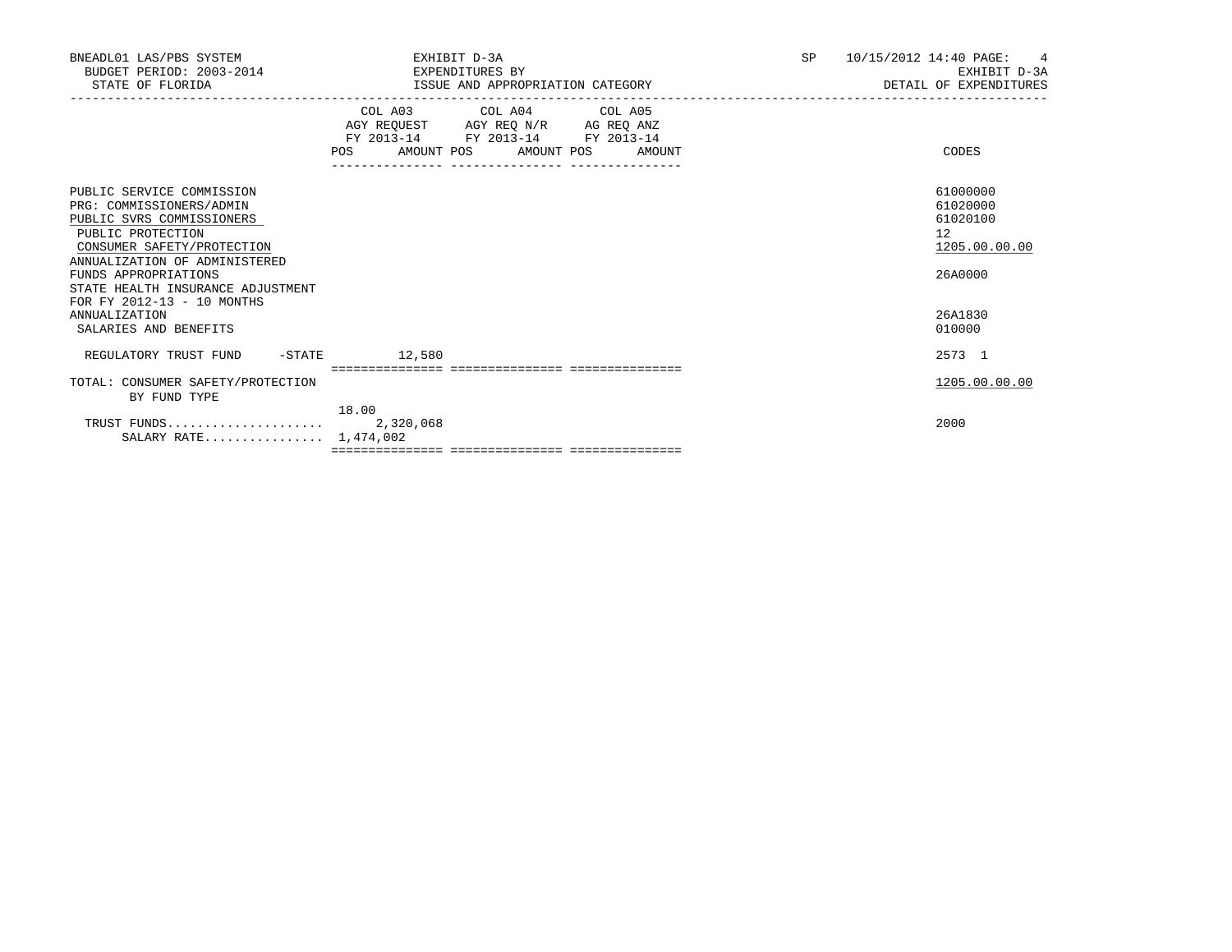| BNEADL01 LAS/PBS SYSTEM<br>BUDGET PERIOD: 2003-2014<br>STATE OF FLORIDA                                                                                                                                                                                           | EXHIBIT D-3A<br>EXPENDITURES BY<br>ISSUE AND APPROPRIATION CATEGORY                                                                                                   | SP<br>10/15/2012 14:40 PAGE:<br>4<br>EXHIBIT D-3A<br>DETAIL OF EXPENDITURES |
|-------------------------------------------------------------------------------------------------------------------------------------------------------------------------------------------------------------------------------------------------------------------|-----------------------------------------------------------------------------------------------------------------------------------------------------------------------|-----------------------------------------------------------------------------|
|                                                                                                                                                                                                                                                                   | COL A03 COL A04 COL A05<br>AGY REQUEST AGY REQ N/R AG REQ ANZ<br>FY 2013-14 FY 2013-14 FY 2013-14<br>POS AMOUNT POS AMOUNT POS AMOUNT<br>------------ --------------- | CODES                                                                       |
| PUBLIC SERVICE COMMISSION<br>PRG: COMMISSIONERS/ADMIN<br>PUBLIC SVRS COMMISSIONERS<br>PUBLIC PROTECTION<br>CONSUMER SAFETY/PROTECTION<br>ANNUALIZATION OF ADMINISTERED<br>FUNDS APPROPRIATIONS<br>STATE HEALTH INSURANCE ADJUSTMENT<br>FOR FY 2012-13 - 10 MONTHS |                                                                                                                                                                       | 61000000<br>61020000<br>61020100<br>12<br>1205.00.00.00<br>26A0000          |
| <b>ANNUALIZATION</b><br>SALARIES AND BENEFITS                                                                                                                                                                                                                     |                                                                                                                                                                       | 26A1830<br>010000                                                           |
| REGULATORY TRUST FUND -STATE                                                                                                                                                                                                                                      | 12,580                                                                                                                                                                | 2573 1                                                                      |
| TOTAL: CONSUMER SAFETY/PROTECTION<br>BY FUND TYPE                                                                                                                                                                                                                 | 18.00                                                                                                                                                                 | 1205.00.00.00                                                               |
| SALARY RATE 1,474,002                                                                                                                                                                                                                                             |                                                                                                                                                                       | 2000                                                                        |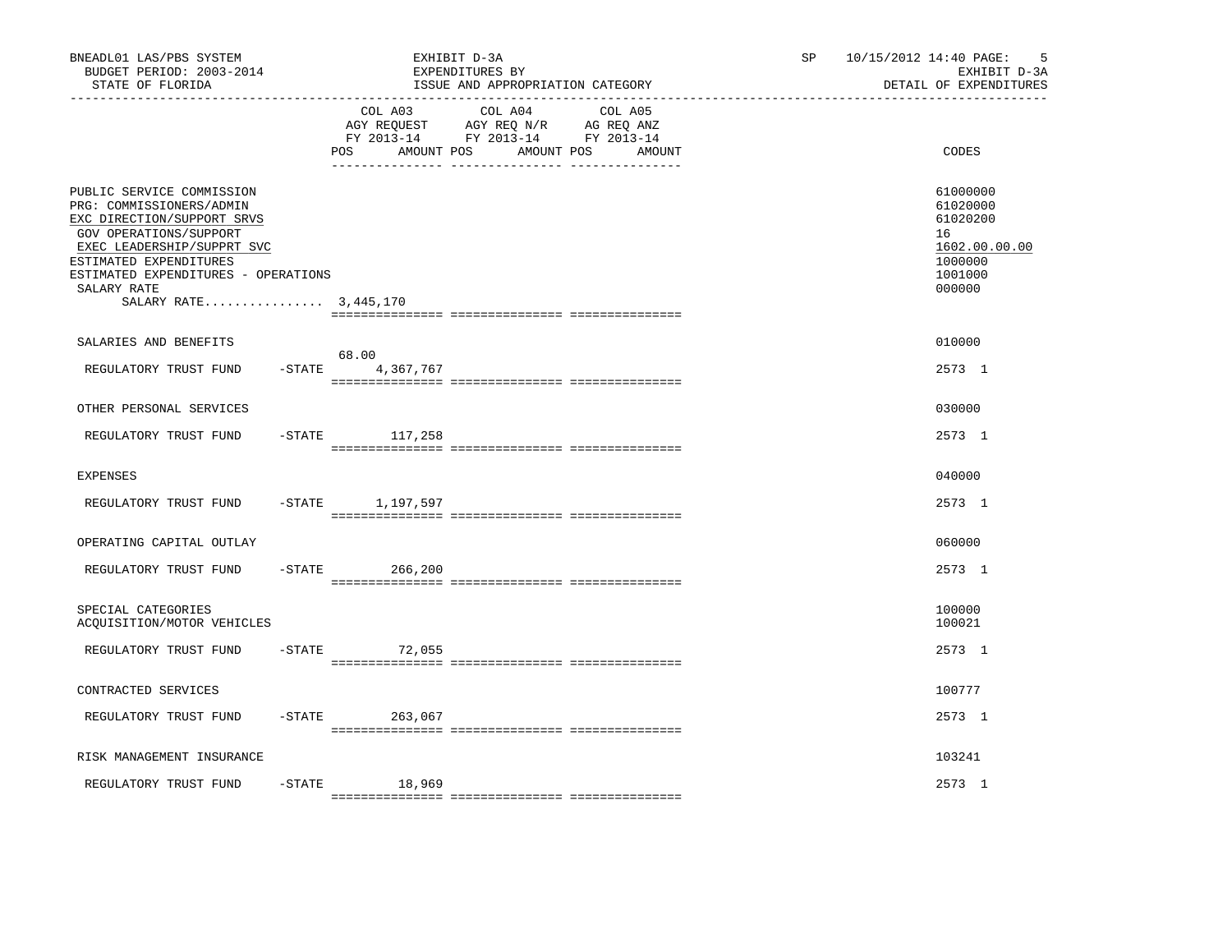| BNEADL01 LAS/PBS SYSTEM<br>BUDGET PERIOD: 2003-2014<br>STATE OF FLORIDA                                                                                                                                                                              | EXHIBIT D-3A                        | EXPENDITURES BY<br>ISSUE AND APPROPRIATION CATEGORY                                                                  | SP | 10/15/2012 14:40 PAGE:<br>-5<br>EXHIBIT D-3A<br>DETAIL OF EXPENDITURES                  |
|------------------------------------------------------------------------------------------------------------------------------------------------------------------------------------------------------------------------------------------------------|-------------------------------------|----------------------------------------------------------------------------------------------------------------------|----|-----------------------------------------------------------------------------------------|
|                                                                                                                                                                                                                                                      | COL A03<br><b>POS</b><br>AMOUNT POS | COL A04<br>COL A05<br>AGY REQUEST AGY REQ N/R AG REQ ANZ<br>FY 2013-14 FY 2013-14 FY 2013-14<br>AMOUNT POS<br>AMOUNT |    | CODES                                                                                   |
| PUBLIC SERVICE COMMISSION<br>PRG: COMMISSIONERS/ADMIN<br>EXC DIRECTION/SUPPORT SRVS<br>GOV OPERATIONS/SUPPORT<br>EXEC LEADERSHIP/SUPPRT SVC<br>ESTIMATED EXPENDITURES<br>ESTIMATED EXPENDITURES - OPERATIONS<br>SALARY RATE<br>SALARY RATE 3,445,170 |                                     |                                                                                                                      |    | 61000000<br>61020000<br>61020200<br>16<br>1602.00.00.00<br>1000000<br>1001000<br>000000 |
| SALARIES AND BENEFITS                                                                                                                                                                                                                                |                                     |                                                                                                                      |    | 010000                                                                                  |
| REGULATORY TRUST FUND                                                                                                                                                                                                                                | 68.00<br>$-$ STATE 4, 367, 767      |                                                                                                                      |    | 2573 1                                                                                  |
| OTHER PERSONAL SERVICES                                                                                                                                                                                                                              |                                     |                                                                                                                      |    | 030000                                                                                  |
| REGULATORY TRUST FUND                                                                                                                                                                                                                                | $-$ STATE $117, 258$                |                                                                                                                      |    | 2573 1                                                                                  |
| <b>EXPENSES</b>                                                                                                                                                                                                                                      |                                     |                                                                                                                      |    | 040000                                                                                  |
| REGULATORY TRUST FUND                                                                                                                                                                                                                                | -STATE 1,197,597                    |                                                                                                                      |    | 2573 1                                                                                  |
| OPERATING CAPITAL OUTLAY                                                                                                                                                                                                                             |                                     |                                                                                                                      |    | 060000                                                                                  |
| REGULATORY TRUST FUND<br>$-$ STATE                                                                                                                                                                                                                   | 266,200                             |                                                                                                                      |    | 2573 1                                                                                  |
| SPECIAL CATEGORIES<br>ACOUISITION/MOTOR VEHICLES                                                                                                                                                                                                     |                                     |                                                                                                                      |    | 100000<br>100021                                                                        |
| REGULATORY TRUST FUND                                                                                                                                                                                                                                | $-$ STATE 72,055                    |                                                                                                                      |    | 2573 1                                                                                  |
| CONTRACTED SERVICES                                                                                                                                                                                                                                  |                                     |                                                                                                                      |    | 100777                                                                                  |
| $-$ STATE<br>REGULATORY TRUST FUND                                                                                                                                                                                                                   | 263,067                             |                                                                                                                      |    | 2573 1                                                                                  |
| RISK MANAGEMENT INSURANCE                                                                                                                                                                                                                            |                                     |                                                                                                                      |    | 103241                                                                                  |
| $-STATE$<br>REGULATORY TRUST FUND                                                                                                                                                                                                                    | 18,969                              |                                                                                                                      |    | 2573 1                                                                                  |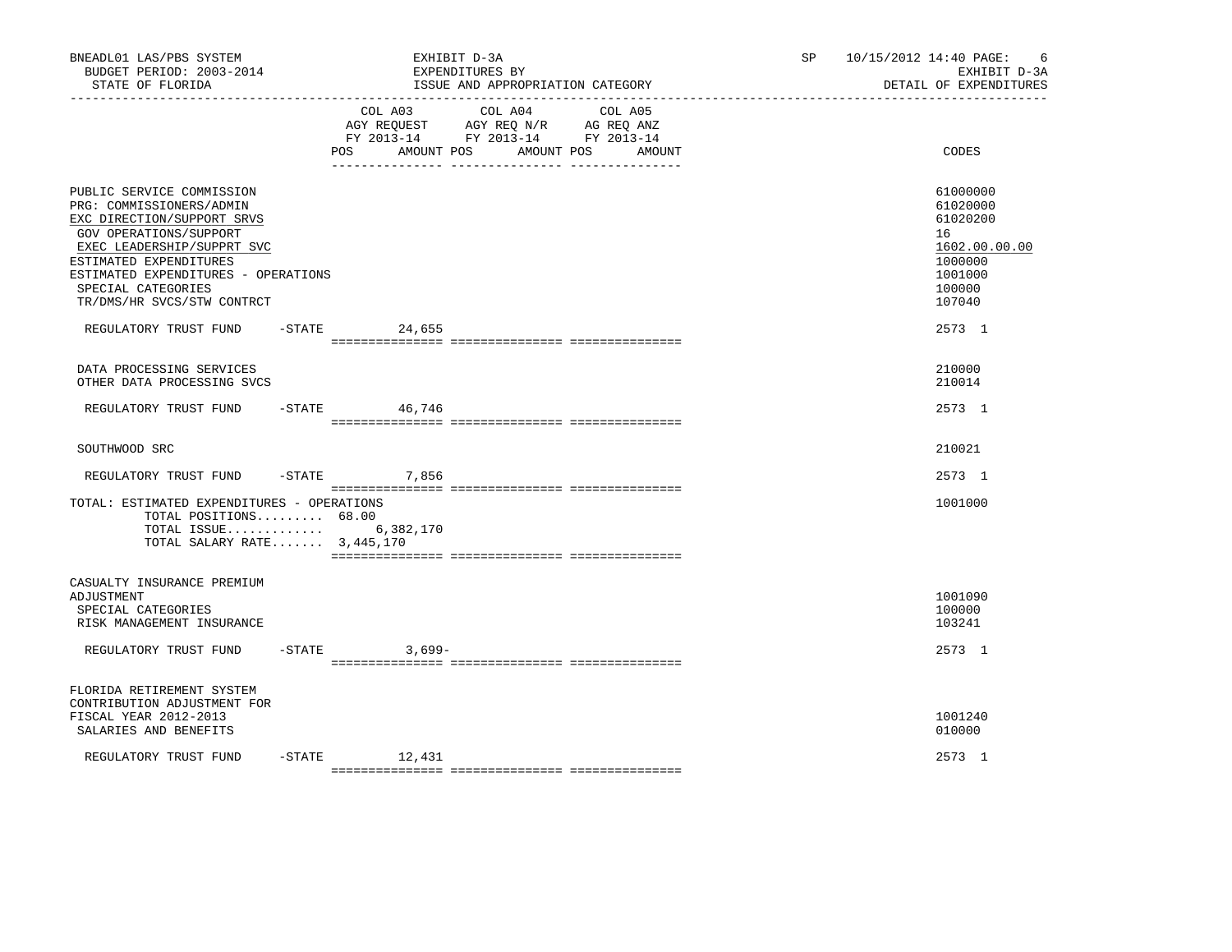| BNEADL01 LAS/PBS SYSTEM<br>BUDGET PERIOD: 2003-2014<br>STATE OF FLORIDA                                                                                                                                                                                          |           |                                  | EXHIBIT D-3A<br>EXPENDITURES BY<br>ISSUE AND APPROPRIATION CATEGORY                             |                   | SP and the set of the set of the set of the set of the set of the set of the set of the set of the set of the set of the set of the set of the set of the set of the set of the set of the set of the set of the set of the se | 10/15/2012 14:40 PAGE:<br>- 6<br>EXHIBIT D-3A<br>DETAIL OF EXPENDITURES                           |
|------------------------------------------------------------------------------------------------------------------------------------------------------------------------------------------------------------------------------------------------------------------|-----------|----------------------------------|-------------------------------------------------------------------------------------------------|-------------------|--------------------------------------------------------------------------------------------------------------------------------------------------------------------------------------------------------------------------------|---------------------------------------------------------------------------------------------------|
|                                                                                                                                                                                                                                                                  |           | COL A03<br>POS FOR<br>AMOUNT POS | COL A04<br>AGY REQUEST AGY REQ N/R AG REQ ANZ<br>FY 2013-14 FY 2013-14 FY 2013-14<br>AMOUNT POS | COL A05<br>AMOUNT |                                                                                                                                                                                                                                | CODES                                                                                             |
| PUBLIC SERVICE COMMISSION<br>PRG: COMMISSIONERS/ADMIN<br>EXC DIRECTION/SUPPORT SRVS<br>GOV OPERATIONS/SUPPORT<br>EXEC LEADERSHIP/SUPPRT SVC<br>ESTIMATED EXPENDITURES<br>ESTIMATED EXPENDITURES - OPERATIONS<br>SPECIAL CATEGORIES<br>TR/DMS/HR SVCS/STW CONTRCT |           |                                  |                                                                                                 |                   |                                                                                                                                                                                                                                | 61000000<br>61020000<br>61020200<br>16<br>1602.00.00.00<br>1000000<br>1001000<br>100000<br>107040 |
| REGULATORY TRUST FUND                                                                                                                                                                                                                                            |           | $-$ STATE 24,655                 |                                                                                                 |                   |                                                                                                                                                                                                                                | 2573 1                                                                                            |
| DATA PROCESSING SERVICES<br>OTHER DATA PROCESSING SVCS                                                                                                                                                                                                           |           |                                  |                                                                                                 |                   |                                                                                                                                                                                                                                | 210000<br>210014                                                                                  |
| REGULATORY TRUST FUND                                                                                                                                                                                                                                            | $-STATE$  | 46,746                           |                                                                                                 |                   |                                                                                                                                                                                                                                | 2573 1                                                                                            |
| SOUTHWOOD SRC                                                                                                                                                                                                                                                    |           |                                  |                                                                                                 |                   |                                                                                                                                                                                                                                | 210021                                                                                            |
| REGULATORY TRUST FUND                                                                                                                                                                                                                                            | $-$ STATE | 7,856                            |                                                                                                 |                   |                                                                                                                                                                                                                                | 2573 1                                                                                            |
| TOTAL: ESTIMATED EXPENDITURES - OPERATIONS<br>TOTAL POSITIONS 68.00<br>TOTAL ISSUE<br>TOTAL SALARY RATE $3,445,170$                                                                                                                                              |           | 6,382,170                        |                                                                                                 |                   |                                                                                                                                                                                                                                | 1001000                                                                                           |
| CASUALTY INSURANCE PREMIUM<br>ADJUSTMENT<br>SPECIAL CATEGORIES<br>RISK MANAGEMENT INSURANCE                                                                                                                                                                      |           |                                  |                                                                                                 |                   |                                                                                                                                                                                                                                | 1001090<br>100000<br>103241                                                                       |
| REGULATORY TRUST FUND                                                                                                                                                                                                                                            |           | $-STATE$<br>3,699-               |                                                                                                 |                   |                                                                                                                                                                                                                                | 2573 1                                                                                            |
| FLORIDA RETIREMENT SYSTEM<br>CONTRIBUTION ADJUSTMENT FOR<br>FISCAL YEAR 2012-2013<br>SALARIES AND BENEFITS                                                                                                                                                       |           |                                  |                                                                                                 |                   |                                                                                                                                                                                                                                | 1001240<br>010000                                                                                 |
| REGULATORY TRUST FUND                                                                                                                                                                                                                                            |           | $-STATE$ 12,431                  |                                                                                                 |                   |                                                                                                                                                                                                                                | 2573 1                                                                                            |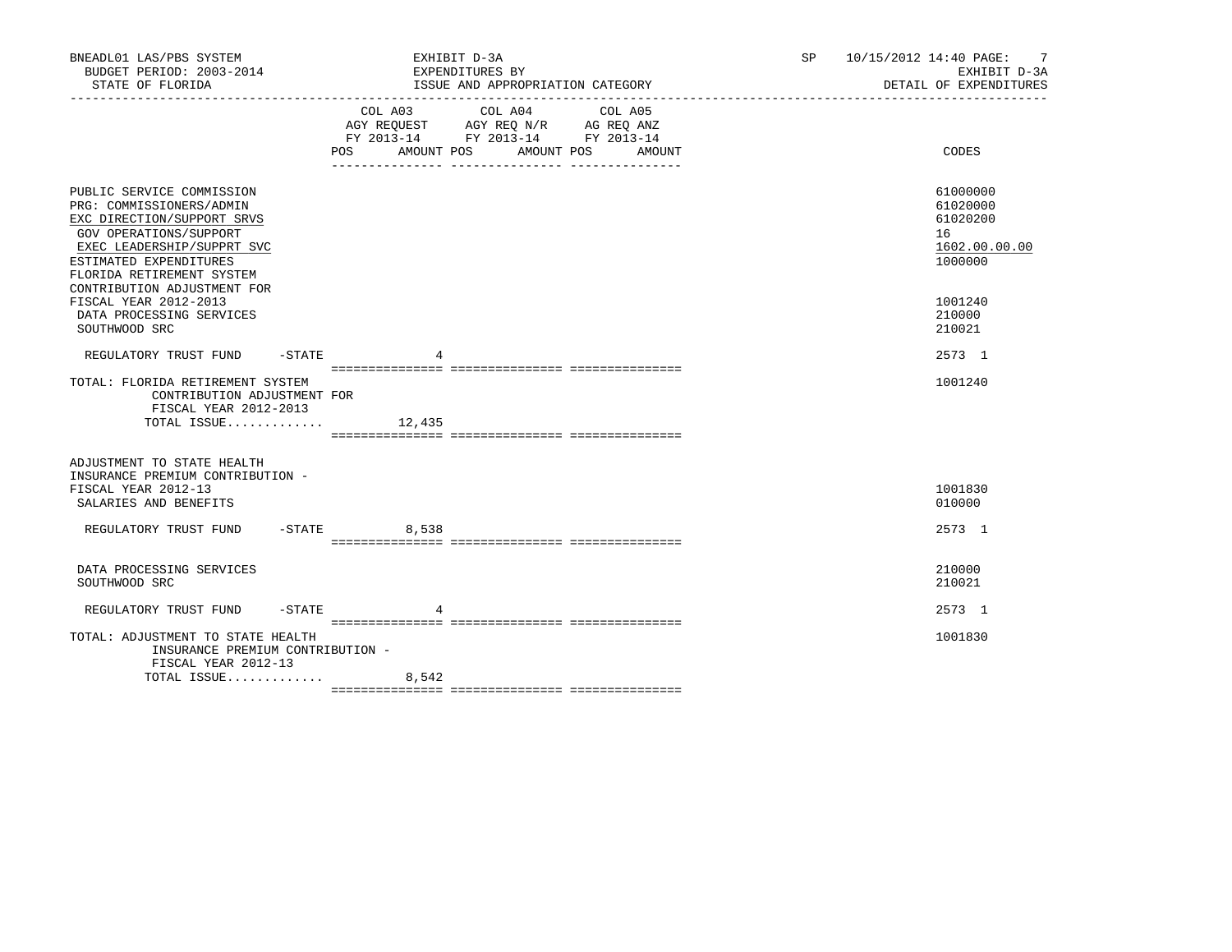| BNEADL01 LAS/PBS SYSTEM<br>BUDGET PERIOD: 2003-2014<br>STATE OF FLORIDA                                                                                                                                                                                                                | EXHIBIT D-3A<br>EXPENDITURES BY<br>ISSUE AND APPROPRIATION CATEGORY                                                                   | SP 10/15/2012 14:40 PAGE: 7<br>EXHIBIT D-3A<br>DETAIL OF EXPENDITURES                   |
|----------------------------------------------------------------------------------------------------------------------------------------------------------------------------------------------------------------------------------------------------------------------------------------|---------------------------------------------------------------------------------------------------------------------------------------|-----------------------------------------------------------------------------------------|
|                                                                                                                                                                                                                                                                                        | COL A03 COL A04 COL A05<br>AGY REQUEST AGY REQ N/R AG REQ ANZ<br>FY 2013-14 FY 2013-14 FY 2013-14<br>POS AMOUNT POS AMOUNT POS AMOUNT | CODES                                                                                   |
| PUBLIC SERVICE COMMISSION<br>PRG: COMMISSIONERS/ADMIN<br>EXC DIRECTION/SUPPORT SRVS<br>GOV OPERATIONS/SUPPORT<br>EXEC LEADERSHIP/SUPPRT SVC<br>ESTIMATED EXPENDITURES<br>FLORIDA RETIREMENT SYSTEM<br>CONTRIBUTION ADJUSTMENT FOR<br>FISCAL YEAR 2012-2013<br>DATA PROCESSING SERVICES |                                                                                                                                       | 61000000<br>61020000<br>61020200<br>16<br>1602.00.00.00<br>1000000<br>1001240<br>210000 |
| SOUTHWOOD SRC<br>REGULATORY TRUST FUND -STATE                                                                                                                                                                                                                                          |                                                                                                                                       | 210021<br>2573 1                                                                        |
| TOTAL: FLORIDA RETIREMENT SYSTEM<br>CONTRIBUTION ADJUSTMENT FOR<br>FISCAL YEAR 2012-2013<br>TOTAL ISSUE                                                                                                                                                                                | 12,435                                                                                                                                | 1001240                                                                                 |
| ADJUSTMENT TO STATE HEALTH<br>INSURANCE PREMIUM CONTRIBUTION -<br>FISCAL YEAR 2012-13<br>SALARIES AND BENEFITS                                                                                                                                                                         |                                                                                                                                       | 1001830<br>010000                                                                       |
| REGULATORY TRUST FUND -STATE 8,538                                                                                                                                                                                                                                                     |                                                                                                                                       | 2573 1                                                                                  |
| DATA PROCESSING SERVICES<br>SOUTHWOOD SRC                                                                                                                                                                                                                                              |                                                                                                                                       | 210000<br>210021                                                                        |
| REGULATORY TRUST FUND -STATE                                                                                                                                                                                                                                                           |                                                                                                                                       | 2573 1                                                                                  |
| TOTAL: ADJUSTMENT TO STATE HEALTH<br>INSURANCE PREMIUM CONTRIBUTION -<br>FISCAL YEAR 2012-13                                                                                                                                                                                           |                                                                                                                                       | 1001830                                                                                 |
| TOTAL ISSUE                                                                                                                                                                                                                                                                            | 8,542                                                                                                                                 |                                                                                         |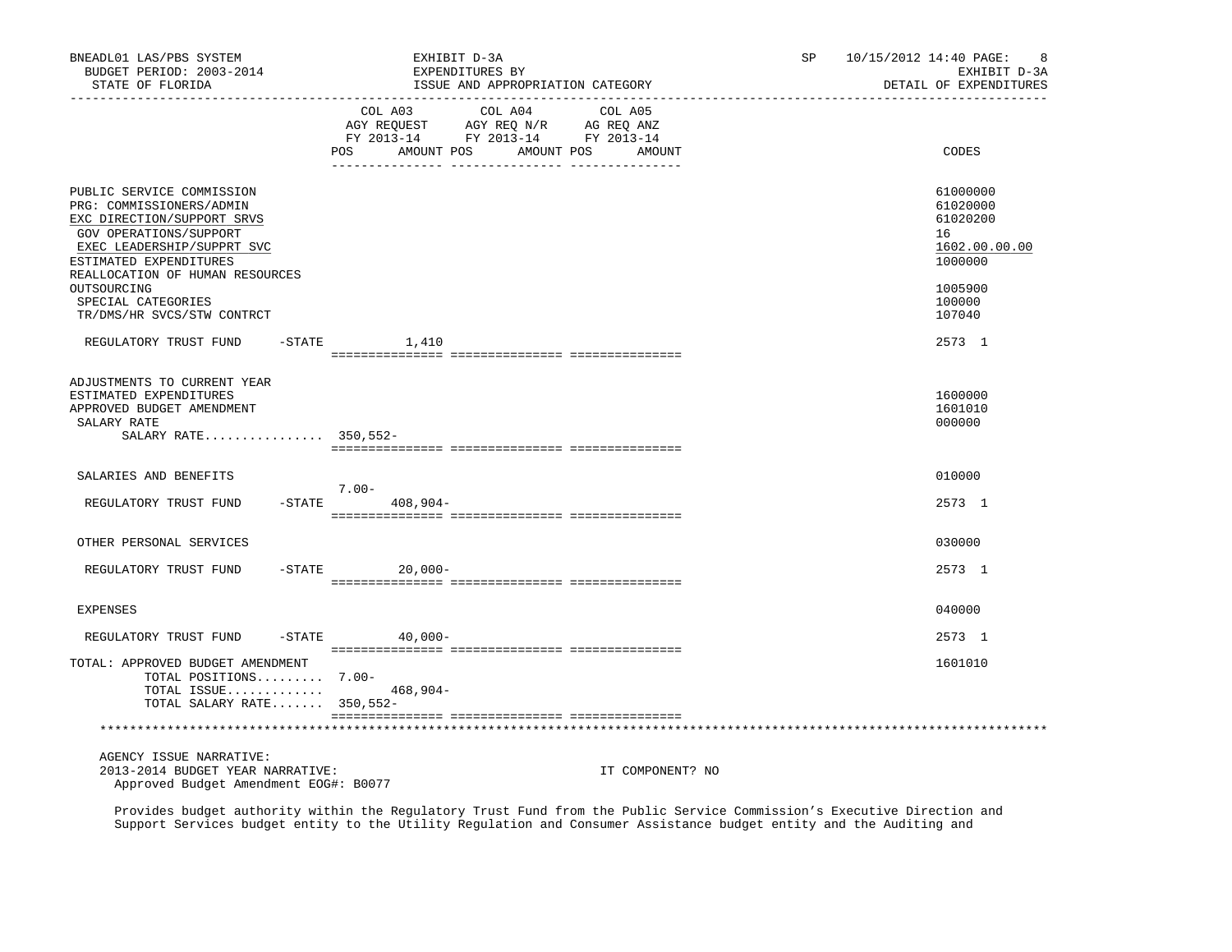| BNEADL01 LAS/PBS SYSTEM<br>BUDGET PERIOD: 2003-2014<br>STATE OF FLORIDA                                                                                                                                                 |          | EXHIBIT D-3A<br>EXPENDITURES BY<br>ISSUE AND APPROPRIATION CATEGORY                             |                                         | SP | 10/15/2012 14:40 PAGE:<br>8<br>EXHIBIT D-3A<br>DETAIL OF EXPENDITURES         |
|-------------------------------------------------------------------------------------------------------------------------------------------------------------------------------------------------------------------------|----------|-------------------------------------------------------------------------------------------------|-----------------------------------------|----|-------------------------------------------------------------------------------|
|                                                                                                                                                                                                                         | POS      | COL A03<br>AGY REQUEST AGY REQ N/R AG REQ ANZ<br>FY 2013-14 FY 2013-14 FY 2013-14<br>AMOUNT POS | COL A04 COL A05<br>AMOUNT POS<br>AMOUNT |    | CODES                                                                         |
| PUBLIC SERVICE COMMISSION<br>PRG: COMMISSIONERS/ADMIN<br>EXC DIRECTION/SUPPORT SRVS<br>GOV OPERATIONS/SUPPORT<br>EXEC LEADERSHIP/SUPPRT SVC<br>ESTIMATED EXPENDITURES<br>REALLOCATION OF HUMAN RESOURCES<br>OUTSOURCING |          |                                                                                                 |                                         |    | 61000000<br>61020000<br>61020200<br>16<br>1602.00.00.00<br>1000000<br>1005900 |
| SPECIAL CATEGORIES<br>TR/DMS/HR SVCS/STW CONTRCT                                                                                                                                                                        |          |                                                                                                 |                                         |    | 100000<br>107040                                                              |
| REGULATORY TRUST FUND                                                                                                                                                                                                   | $-STATE$ | 1,410                                                                                           |                                         |    | 2573 1                                                                        |
| ADJUSTMENTS TO CURRENT YEAR<br>ESTIMATED EXPENDITURES<br>APPROVED BUDGET AMENDMENT<br>SALARY RATE<br>SALARY RATE 350,552-                                                                                               |          |                                                                                                 |                                         |    | 1600000<br>1601010<br>000000                                                  |
| SALARIES AND BENEFITS                                                                                                                                                                                                   |          | $7.00 -$                                                                                        |                                         |    | 010000                                                                        |
| REGULATORY TRUST FUND                                                                                                                                                                                                   |          | $-$ STATE 408, 904 –                                                                            |                                         |    | 2573 1                                                                        |
| OTHER PERSONAL SERVICES                                                                                                                                                                                                 |          |                                                                                                 |                                         |    | 030000                                                                        |
| REGULATORY TRUST FUND                                                                                                                                                                                                   |          | $-$ STATE 20,000 -                                                                              |                                         |    | 2573 1                                                                        |
| EXPENSES                                                                                                                                                                                                                |          |                                                                                                 |                                         |    | 040000                                                                        |
| REGULATORY TRUST FUND                                                                                                                                                                                                   |          | $-$ STATE 40,000 -                                                                              |                                         |    | 2573 1                                                                        |
| TOTAL: APPROVED BUDGET AMENDMENT<br>TOTAL POSITIONS 7.00-<br>TOTAL ISSUE<br>TOTAL SALARY RATE 350,552-                                                                                                                  |          | 468,904-                                                                                        |                                         |    | 1601010                                                                       |
|                                                                                                                                                                                                                         |          |                                                                                                 |                                         |    |                                                                               |
| AGENCY ISSUE NARRATIVE:<br>2013-2014 BUDGET YEAR NARRATIVE:<br>Approved Budget Amendment EOG#: B0077                                                                                                                    |          |                                                                                                 | IT COMPONENT? NO                        |    |                                                                               |

 Provides budget authority within the Regulatory Trust Fund from the Public Service Commission's Executive Direction and Support Services budget entity to the Utility Regulation and Consumer Assistance budget entity and the Auditing and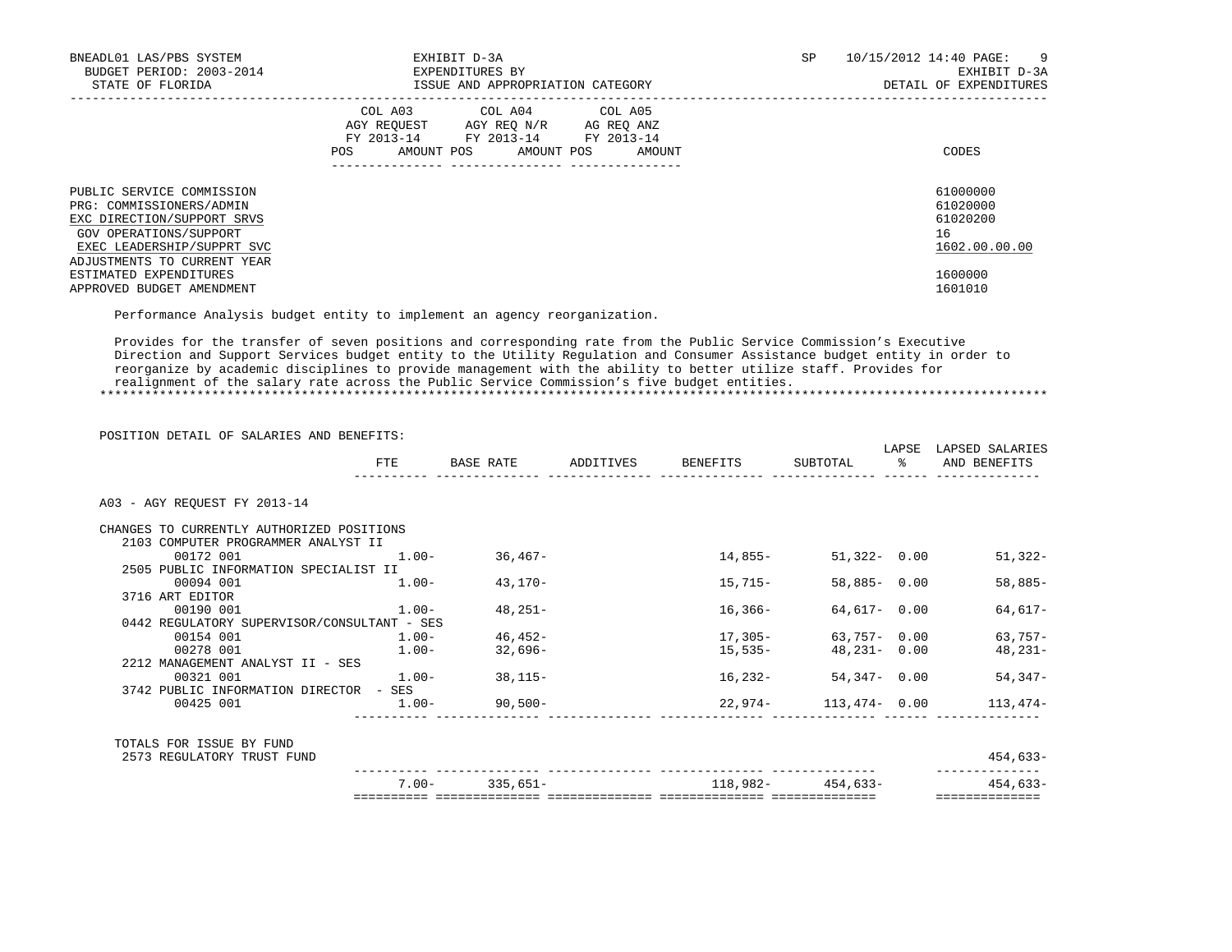| BNEADL01 LAS/PBS SYSTEM<br>BUDGET PERIOD: 2003-2014<br>STATE OF FLORIDA                                                                                                                              | EXHIBIT D-3A<br>EXPENDITURES BY<br>ISSUE AND APPROPRIATION CATEGORY                                                                                  | SP | 10/15/2012 14:40 PAGE:<br>- 9<br>EXHIBIT D-3A<br>DETAIL OF EXPENDITURES |
|------------------------------------------------------------------------------------------------------------------------------------------------------------------------------------------------------|------------------------------------------------------------------------------------------------------------------------------------------------------|----|-------------------------------------------------------------------------|
|                                                                                                                                                                                                      | COL A03<br>COL A04 COL A05<br>AGY REOUEST AGY REO N/R<br>AG REO ANZ<br>FY 2013-14 FY 2013-14 FY 2013-14<br>AMOUNT POS<br>AMOUNT POS<br>AMOUNT<br>POS |    | CODES                                                                   |
| PUBLIC SERVICE COMMISSION<br>PRG: COMMISSIONERS/ADMIN<br>EXC DIRECTION/SUPPORT SRVS<br>GOV OPERATIONS/SUPPORT<br>EXEC LEADERSHIP/SUPPRT SVC<br>ADJUSTMENTS TO CURRENT YEAR<br>ESTIMATED EXPENDITURES |                                                                                                                                                      |    | 61000000<br>61020000<br>61020200<br>16<br>1602.00.00.00<br>1600000      |
| APPROVED BUDGET AMENDMENT                                                                                                                                                                            |                                                                                                                                                      |    | 1601010                                                                 |

Performance Analysis budget entity to implement an agency reorganization.

 Provides for the transfer of seven positions and corresponding rate from the Public Service Commission's Executive Direction and Support Services budget entity to the Utility Regulation and Consumer Assistance budget entity in order to reorganize by academic disciplines to provide management with the ability to better utilize staff. Provides for realignment of the salary rate across the Public Service Commission's five budget entities.

\*\*\*\*\*\*\*\*\*\*\*\*\*\*\*\*\*\*\*\*\*\*\*\*\*\*\*\*\*\*\*\*\*\*\*\*\*\*\*\*\*\*\*\*\*\*\*\*\*\*\*\*\*\*\*\*\*\*\*\*\*\*\*\*\*\*\*\*\*\*\*\*\*\*\*\*\*\*\*\*\*\*\*\*\*\*\*\*\*\*\*\*\*\*\*\*\*\*\*\*\*\*\*\*\*\*\*\*\*\*\*\*\*\*\*\*\*\*\*\*\*\*\*\*\*\*\*

POSITION DETAIL OF SALARIES AND BENEFITS:

|                                             |          |                   |                             |                                | LAPSE          | LAPSED SALARIES |
|---------------------------------------------|----------|-------------------|-----------------------------|--------------------------------|----------------|-----------------|
|                                             | FTE      | BASE RATE         | ADDITIVES BENEFITS SUBTOTAL |                                | $\mathbb{R}^2$ | AND BENEFITS    |
| A03 - AGY REOUEST FY 2013-14                |          |                   |                             |                                |                |                 |
| CHANGES TO CURRENTLY AUTHORIZED POSITIONS   |          |                   |                             |                                |                |                 |
| 2103 COMPUTER PROGRAMMER ANALYST II         |          |                   |                             |                                |                |                 |
| 00172 001                                   | $1.00-$  | 36,467-           | 14,855-                     | $51,322 - 0.00$                |                | 51,322-         |
| 2505 PUBLIC INFORMATION SPECIALIST II       |          |                   |                             |                                |                |                 |
| 00094 001                                   | $1.00 -$ | 43,170-           | 15,715–                     | $58,885 - 0.00$                |                | $58,885-$       |
| 3716 ART EDITOR                             |          |                   |                             |                                |                |                 |
| 00190 001                                   | $1.00 -$ | 48,251-           | 16,366-                     | 64,617- 0.00                   |                | 64,617-         |
| 0442 REGULATORY SUPERVISOR/CONSULTANT - SES |          |                   |                             |                                |                |                 |
| 00154 001                                   | $1.00 -$ | $46,452-$         | 17,305-                     | 63,757- 0.00                   |                | $63,757-$       |
| 00278 001                                   | $1.00-$  | 32,696-           | 15,535-                     | 48,231- 0.00                   |                | 48,231-         |
| 2212 MANAGEMENT ANALYST II - SES            |          |                   |                             |                                |                |                 |
| 00321 001                                   |          | $1.00 - 38,115 -$ | 16,232-                     | $54,347 - 0.00$                |                | 54,347-         |
| 3742 PUBLIC INFORMATION DIRECTOR - SES      |          |                   |                             |                                |                |                 |
| 00425 001                                   |          | $1.00 - 90,500 -$ |                             | $22,974-113,474-0.00$ 113,474- |                |                 |
|                                             |          |                   |                             |                                |                |                 |
| TOTALS FOR ISSUE BY FUND                    |          |                   |                             |                                |                |                 |
| 2573 REGULATORY TRUST FUND                  |          |                   |                             |                                |                | 454,633-        |
|                                             | $7.00 -$ | 335,651-          | $118,982-454,633-$          |                                |                | $454,633-$      |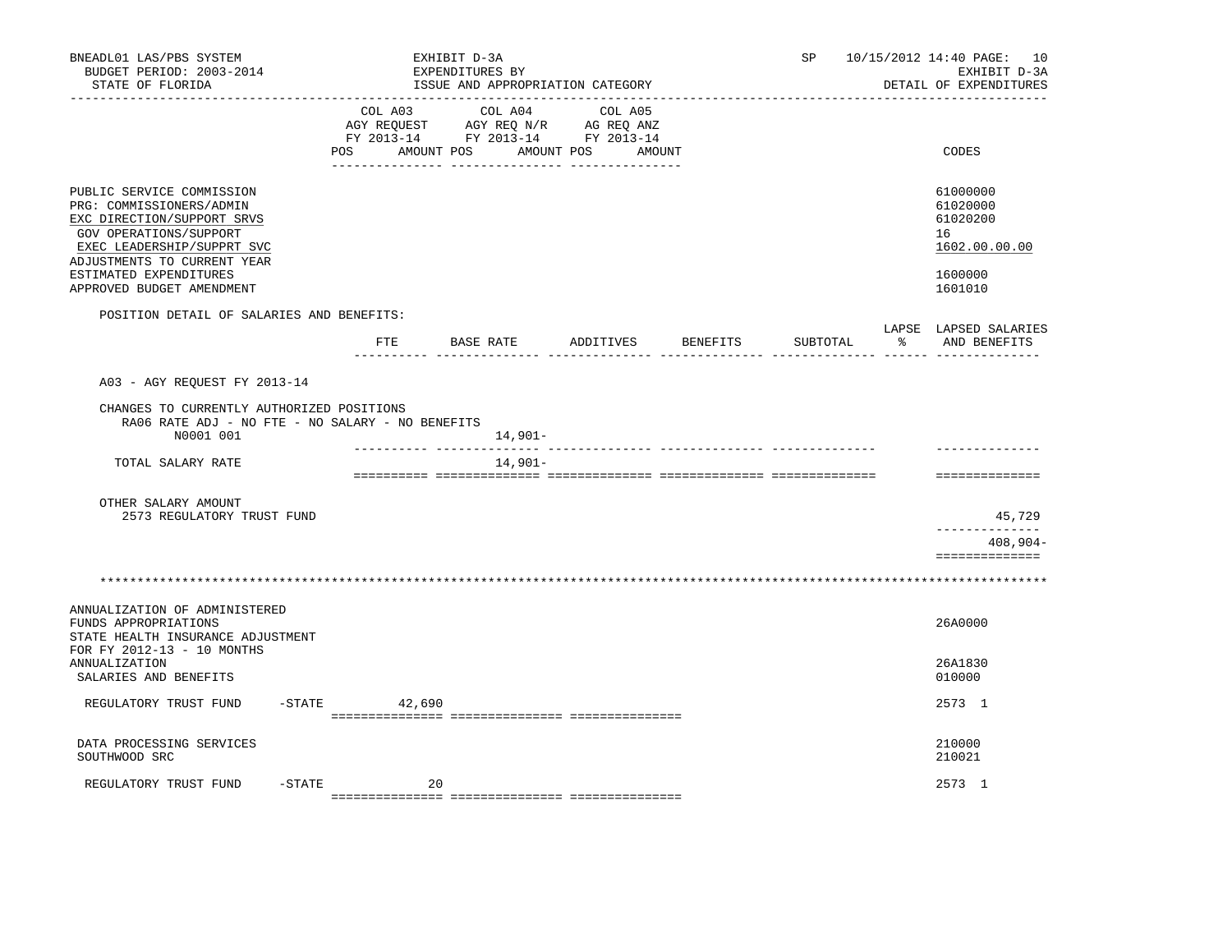| BNEADL01 LAS/PBS SYSTEM<br>BUDGET PERIOD: 2003-2014<br>STATE OF FLORIDA                                                                                                                                                           |        | EXHIBIT D-3A<br>EXPENDITURES BY<br>ISSUE AND APPROPRIATION CATEGORY                                                                                                                                                                                                                                                                                                                                                  |                    | SP                                             | 10/15/2012 14:40 PAGE: 10<br>EXHIBIT D-3A<br>DETAIL OF EXPENDITURES           |
|-----------------------------------------------------------------------------------------------------------------------------------------------------------------------------------------------------------------------------------|--------|----------------------------------------------------------------------------------------------------------------------------------------------------------------------------------------------------------------------------------------------------------------------------------------------------------------------------------------------------------------------------------------------------------------------|--------------------|------------------------------------------------|-------------------------------------------------------------------------------|
|                                                                                                                                                                                                                                   | POS    | $\begin{tabular}{lllllllllll} &\multicolumn{4}{c}{\text{COL A03}} &\multicolumn{4}{c}{\text{COL A04}} &\multicolumn{4}{c}{\text{COL A05}} \\ \multicolumn{4}{c}{\text{AGY REQUEST}} &\multicolumn{4}{c}{\text{AGY REQ}} &\multicolumn{4}{c}{\text{N/R}} &\multicolumn{4}{c}{\text{AG REQ ANZ}} \end{tabular}$<br>FY 2013-14 FY 2013-14 FY 2013-14<br>AMOUNT POS AMOUNT POS AMOUNT<br>___ ________________ __________ |                    |                                                | CODES                                                                         |
| PUBLIC SERVICE COMMISSION<br>PRG: COMMISSIONERS/ADMIN<br>EXC DIRECTION/SUPPORT SRVS<br>GOV OPERATIONS/SUPPORT<br>EXEC LEADERSHIP/SUPPRT SVC<br>ADJUSTMENTS TO CURRENT YEAR<br>ESTIMATED EXPENDITURES<br>APPROVED BUDGET AMENDMENT |        |                                                                                                                                                                                                                                                                                                                                                                                                                      |                    |                                                | 61000000<br>61020000<br>61020200<br>16<br>1602.00.00.00<br>1600000<br>1601010 |
| POSITION DETAIL OF SALARIES AND BENEFITS:                                                                                                                                                                                         |        |                                                                                                                                                                                                                                                                                                                                                                                                                      |                    |                                                | LAPSE LAPSED SALARIES                                                         |
|                                                                                                                                                                                                                                   | FTE.   | BASE RATE                                                                                                                                                                                                                                                                                                                                                                                                            | ADDITIVES BENEFITS | SUBTOTAL<br>----- --------------- ------ ----- | % AND BENEFITS                                                                |
| A03 - AGY REOUEST FY 2013-14                                                                                                                                                                                                      |        |                                                                                                                                                                                                                                                                                                                                                                                                                      |                    |                                                |                                                                               |
| CHANGES TO CURRENTLY AUTHORIZED POSITIONS<br>RA06 RATE ADJ - NO FTE - NO SALARY - NO BENEFITS<br>N0001 001                                                                                                                        |        | 14,901-                                                                                                                                                                                                                                                                                                                                                                                                              |                    |                                                |                                                                               |
| TOTAL SALARY RATE                                                                                                                                                                                                                 |        | 14,901-                                                                                                                                                                                                                                                                                                                                                                                                              |                    |                                                | ==============                                                                |
| OTHER SALARY AMOUNT<br>2573 REGULATORY TRUST FUND                                                                                                                                                                                 |        |                                                                                                                                                                                                                                                                                                                                                                                                                      |                    |                                                | 45,729<br>. _ _ _ _ _ _ _ _ _ _ _                                             |
|                                                                                                                                                                                                                                   |        |                                                                                                                                                                                                                                                                                                                                                                                                                      |                    |                                                | $408,904-$<br>==============                                                  |
|                                                                                                                                                                                                                                   |        |                                                                                                                                                                                                                                                                                                                                                                                                                      |                    |                                                |                                                                               |
| ANNUALIZATION OF ADMINISTERED<br>FUNDS APPROPRIATIONS<br>STATE HEALTH INSURANCE ADJUSTMENT<br>FOR FY 2012-13 - 10 MONTHS                                                                                                          |        |                                                                                                                                                                                                                                                                                                                                                                                                                      |                    |                                                | 26A0000                                                                       |
| ANNUALIZATION<br>SALARIES AND BENEFITS                                                                                                                                                                                            |        |                                                                                                                                                                                                                                                                                                                                                                                                                      |                    |                                                | 26A1830<br>010000                                                             |
| $-$ STATE<br>REGULATORY TRUST FUND                                                                                                                                                                                                | 42,690 |                                                                                                                                                                                                                                                                                                                                                                                                                      |                    |                                                | 2573 1                                                                        |
| DATA PROCESSING SERVICES<br>SOUTHWOOD SRC                                                                                                                                                                                         |        |                                                                                                                                                                                                                                                                                                                                                                                                                      |                    |                                                | 210000<br>210021                                                              |
| -STATE<br>REGULATORY TRUST FUND                                                                                                                                                                                                   |        | 20                                                                                                                                                                                                                                                                                                                                                                                                                   |                    |                                                | 2573 1                                                                        |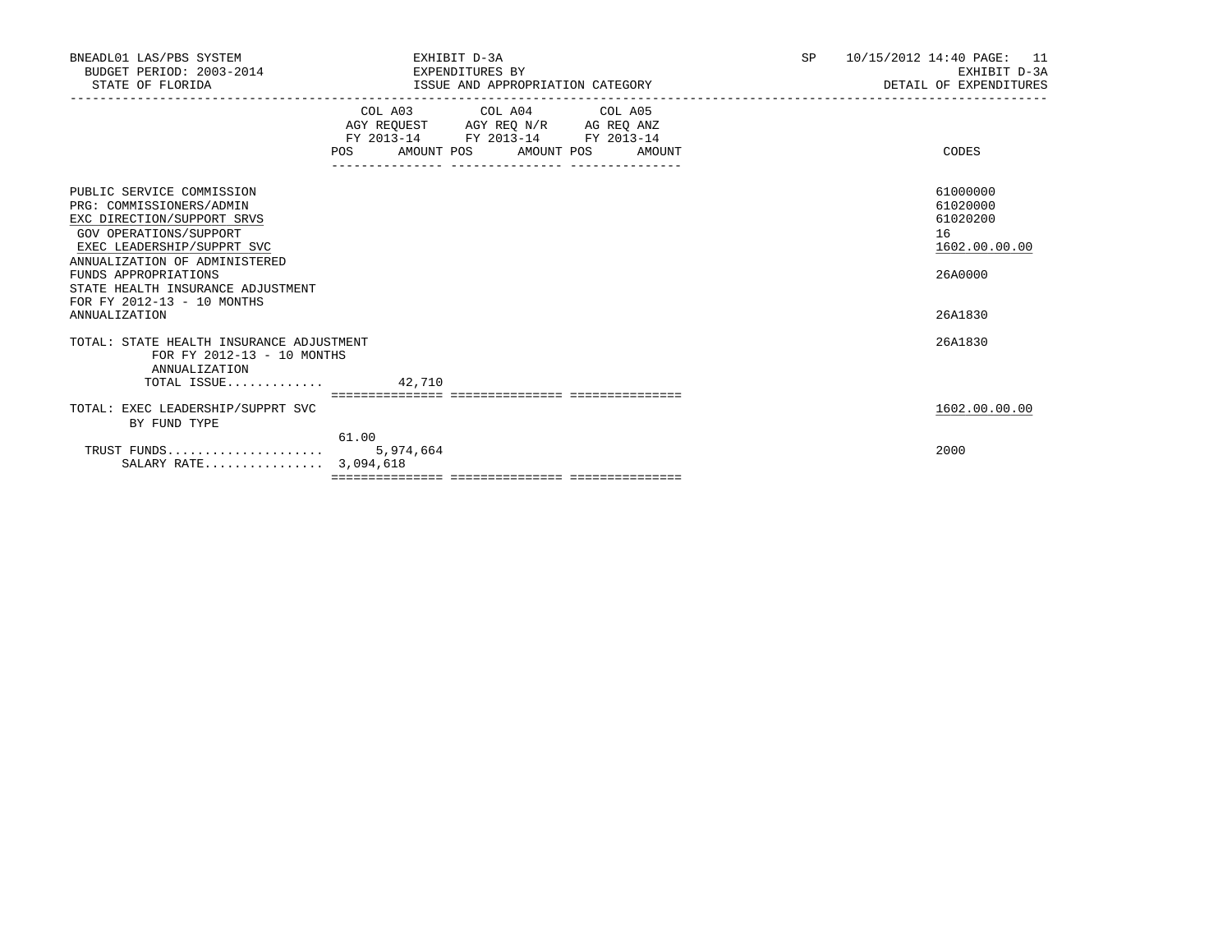| BNEADL01 LAS/PBS SYSTEM<br>BUDGET PERIOD: 2003-2014<br>STATE OF FLORIDA                                                                                                                                                                                                                         | EXHIBIT D-3A<br>EXPENDITURES BY<br>ISSUE AND APPROPRIATION CATEGORY                                                                   | <b>SP</b> | 10/15/2012 14:40 PAGE: 11<br>EXHIBIT D-3A<br>DETAIL OF EXPENDITURES           |
|-------------------------------------------------------------------------------------------------------------------------------------------------------------------------------------------------------------------------------------------------------------------------------------------------|---------------------------------------------------------------------------------------------------------------------------------------|-----------|-------------------------------------------------------------------------------|
|                                                                                                                                                                                                                                                                                                 | COL A03 COL A04 COL A05<br>AGY REQUEST AGY REQ N/R AG REQ ANZ<br>FY 2013-14 FY 2013-14 FY 2013-14<br>POS AMOUNT POS AMOUNT POS AMOUNT |           | CODES                                                                         |
| PUBLIC SERVICE COMMISSION<br>PRG: COMMISSIONERS/ADMIN<br>EXC DIRECTION/SUPPORT SRVS<br>GOV OPERATIONS/SUPPORT<br>EXEC LEADERSHIP/SUPPRT SVC<br>ANNUALIZATION OF ADMINISTERED<br>FUNDS APPROPRIATIONS<br>STATE HEALTH INSURANCE ADJUSTMENT<br>FOR FY 2012-13 - 10 MONTHS<br><b>ANNUALIZATION</b> |                                                                                                                                       |           | 61000000<br>61020000<br>61020200<br>16<br>1602.00.00.00<br>26A0000<br>26A1830 |
| TOTAL: STATE HEALTH INSURANCE ADJUSTMENT<br>FOR FY 2012-13 - 10 MONTHS<br>ANNUALIZATION<br>TOTAL ISSUE $42.710$                                                                                                                                                                                 |                                                                                                                                       |           | 26A1830                                                                       |
| TOTAL: EXEC LEADERSHIP/SUPPRT SVC<br>BY FUND TYPE                                                                                                                                                                                                                                               | 61.00                                                                                                                                 |           | 1602.00.00.00                                                                 |
| TRUST FUNDS<br>SALARY RATE 3,094,618                                                                                                                                                                                                                                                            | 5,974,664                                                                                                                             |           | 2000                                                                          |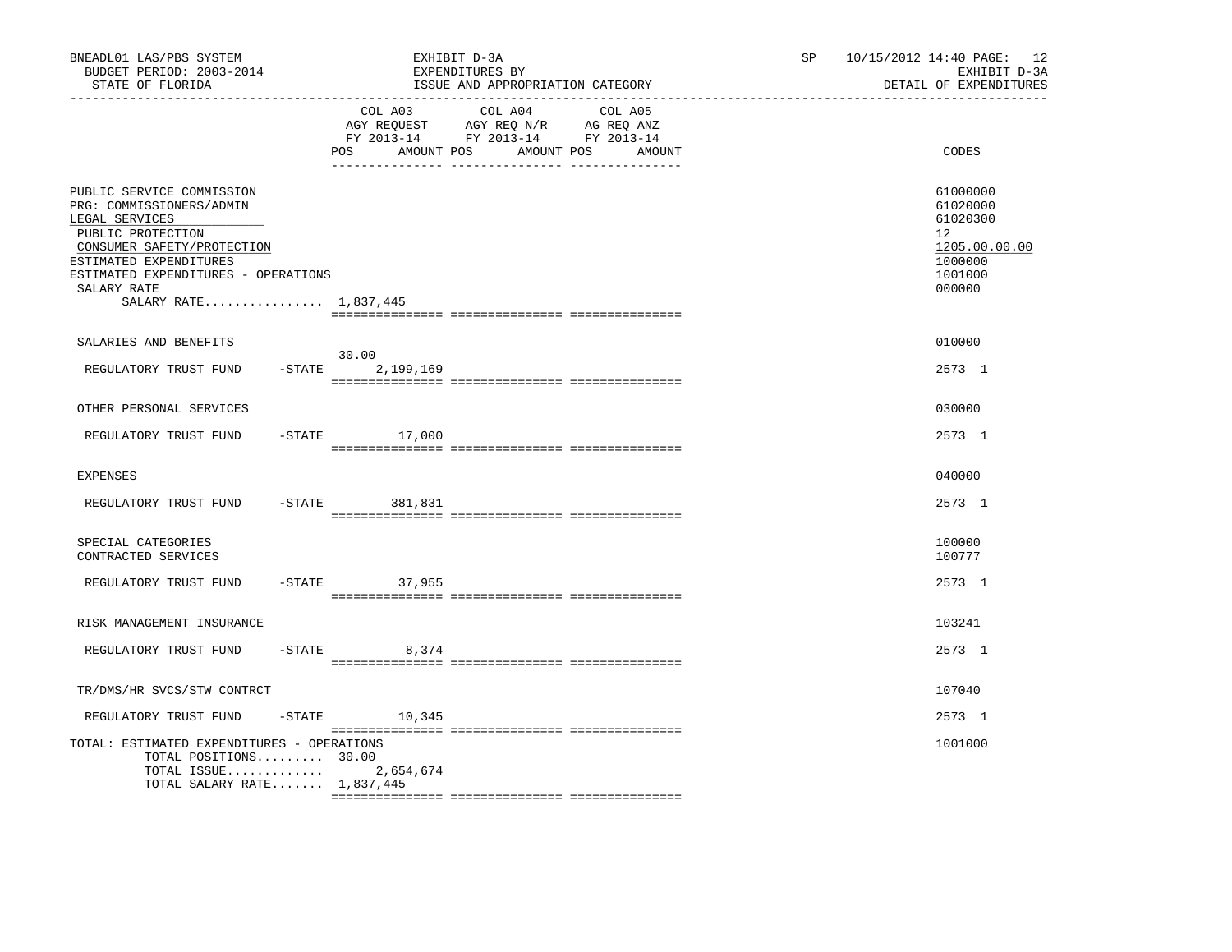| BNEADL01 LAS/PBS SYSTEM<br>BUDGET PERIOD: 2003-2014<br>STATE OF FLORIDA                                                                                                                                                             | EXHIBIT D-3A<br>EXPENDITURES BY<br>ISSUE AND APPROPRIATION CATEGORY                                                                               | 10/15/2012 14:40 PAGE: 12<br>SP<br>EXHIBIT D-3A<br>DETAIL OF EXPENDITURES                            |
|-------------------------------------------------------------------------------------------------------------------------------------------------------------------------------------------------------------------------------------|---------------------------------------------------------------------------------------------------------------------------------------------------|------------------------------------------------------------------------------------------------------|
|                                                                                                                                                                                                                                     | COL A03<br>COL A04 COL A05<br>AGY REQUEST AGY REQ N/R AG REQ ANZ<br>FY 2013-14 FY 2013-14 FY 2013-14<br>POS<br>AMOUNT POS<br>AMOUNT POS<br>AMOUNT | CODES                                                                                                |
| PUBLIC SERVICE COMMISSION<br>PRG: COMMISSIONERS/ADMIN<br>LEGAL SERVICES<br>PUBLIC PROTECTION<br>CONSUMER SAFETY/PROTECTION<br>ESTIMATED EXPENDITURES<br>ESTIMATED EXPENDITURES - OPERATIONS<br>SALARY RATE<br>SALARY RATE 1,837,445 |                                                                                                                                                   | 61000000<br>61020000<br>61020300<br>12 <sup>°</sup><br>1205.00.00.00<br>1000000<br>1001000<br>000000 |
| SALARIES AND BENEFITS                                                                                                                                                                                                               |                                                                                                                                                   | 010000                                                                                               |
| REGULATORY TRUST FUND<br>$-$ STATE                                                                                                                                                                                                  | 30.00<br>2,199,169                                                                                                                                | 2573 1                                                                                               |
| OTHER PERSONAL SERVICES                                                                                                                                                                                                             |                                                                                                                                                   | 030000                                                                                               |
| REGULATORY TRUST FUND                                                                                                                                                                                                               | $-STATE$ 17,000                                                                                                                                   | 2573 1                                                                                               |
| <b>EXPENSES</b>                                                                                                                                                                                                                     |                                                                                                                                                   | 040000                                                                                               |
| REGULATORY TRUST FUND<br>$-STATE$                                                                                                                                                                                                   | 381,831                                                                                                                                           | 2573 1                                                                                               |
| SPECIAL CATEGORIES<br>CONTRACTED SERVICES                                                                                                                                                                                           |                                                                                                                                                   | 100000<br>100777                                                                                     |
| REGULATORY TRUST FUND                                                                                                                                                                                                               | -STATE 37,955                                                                                                                                     | 2573 1                                                                                               |
| RISK MANAGEMENT INSURANCE                                                                                                                                                                                                           |                                                                                                                                                   | 103241                                                                                               |
| REGULATORY TRUST FUND                                                                                                                                                                                                               | $-STATE$<br>8,374                                                                                                                                 | 2573 1                                                                                               |
| TR/DMS/HR SVCS/STW CONTRCT                                                                                                                                                                                                          |                                                                                                                                                   | 107040                                                                                               |
| REGULATORY TRUST FUND                                                                                                                                                                                                               | $-$ STATE 10, 345                                                                                                                                 | 2573 1                                                                                               |
| TOTAL: ESTIMATED EXPENDITURES - OPERATIONS<br>TOTAL POSITIONS 30.00<br>TOTAL ISSUE<br>TOTAL SALARY RATE 1,837,445                                                                                                                   | 2,654,674                                                                                                                                         | 1001000                                                                                              |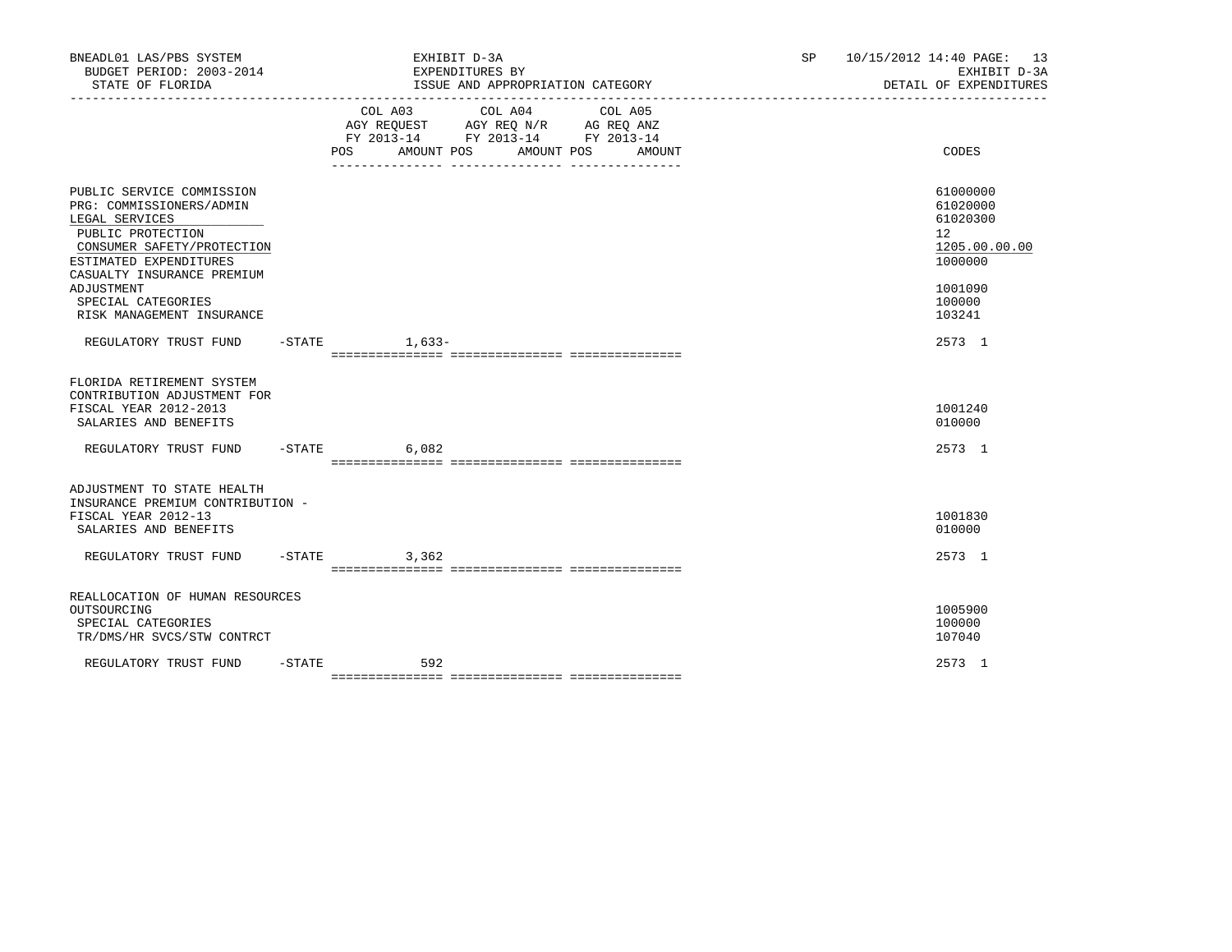| BNEADL01 LAS/PBS SYSTEM<br>BUDGET PERIOD: 2003-2014<br>STATE OF FLORIDA                                                                                                                                                                             |           | EXHIBIT D-3A<br>EXPENDITURES BY<br>ISSUE AND APPROPRIATION CATEGORY                                                                                  | SP | 10/15/2012 14:40 PAGE: 13<br>EXHIBIT D-3A<br>DETAIL OF EXPENDITURES                               |
|-----------------------------------------------------------------------------------------------------------------------------------------------------------------------------------------------------------------------------------------------------|-----------|------------------------------------------------------------------------------------------------------------------------------------------------------|----|---------------------------------------------------------------------------------------------------|
|                                                                                                                                                                                                                                                     |           | COL A03<br>COL A04<br>COL A05<br>AGY REQUEST AGY REQ N/R AG REQ ANZ<br>FY 2013-14 FY 2013-14 FY 2013-14<br>AMOUNT POS<br>AMOUNT POS<br>POS<br>AMOUNT |    | CODES                                                                                             |
| PUBLIC SERVICE COMMISSION<br>PRG: COMMISSIONERS/ADMIN<br>LEGAL SERVICES<br>PUBLIC PROTECTION<br>CONSUMER SAFETY/PROTECTION<br>ESTIMATED EXPENDITURES<br>CASUALTY INSURANCE PREMIUM<br>ADJUSTMENT<br>SPECIAL CATEGORIES<br>RISK MANAGEMENT INSURANCE |           |                                                                                                                                                      |    | 61000000<br>61020000<br>61020300<br>12<br>1205.00.00.00<br>1000000<br>1001090<br>100000<br>103241 |
| REGULATORY TRUST FUND -STATE 1,633-                                                                                                                                                                                                                 |           |                                                                                                                                                      |    | 2573 1                                                                                            |
| FLORIDA RETIREMENT SYSTEM<br>CONTRIBUTION ADJUSTMENT FOR<br>FISCAL YEAR 2012-2013<br>SALARIES AND BENEFITS                                                                                                                                          |           |                                                                                                                                                      |    | 1001240<br>010000                                                                                 |
| REGULATORY TRUST FUND -STATE                                                                                                                                                                                                                        |           | 6,082                                                                                                                                                |    | 2573 1                                                                                            |
| ADJUSTMENT TO STATE HEALTH<br>INSURANCE PREMIUM CONTRIBUTION -<br>FISCAL YEAR 2012-13<br>SALARIES AND BENEFITS<br>REGULATORY TRUST FUND                                                                                                             |           | $-STATE$ 3,362                                                                                                                                       |    | 1001830<br>010000<br>2573 1                                                                       |
| REALLOCATION OF HUMAN RESOURCES<br>OUTSOURCING<br>SPECIAL CATEGORIES<br>TR/DMS/HR SVCS/STW CONTRCT                                                                                                                                                  |           |                                                                                                                                                      |    | 1005900<br>100000<br>107040                                                                       |
| REGULATORY TRUST FUND                                                                                                                                                                                                                               | $-$ STATE | 592                                                                                                                                                  |    | 2573 1                                                                                            |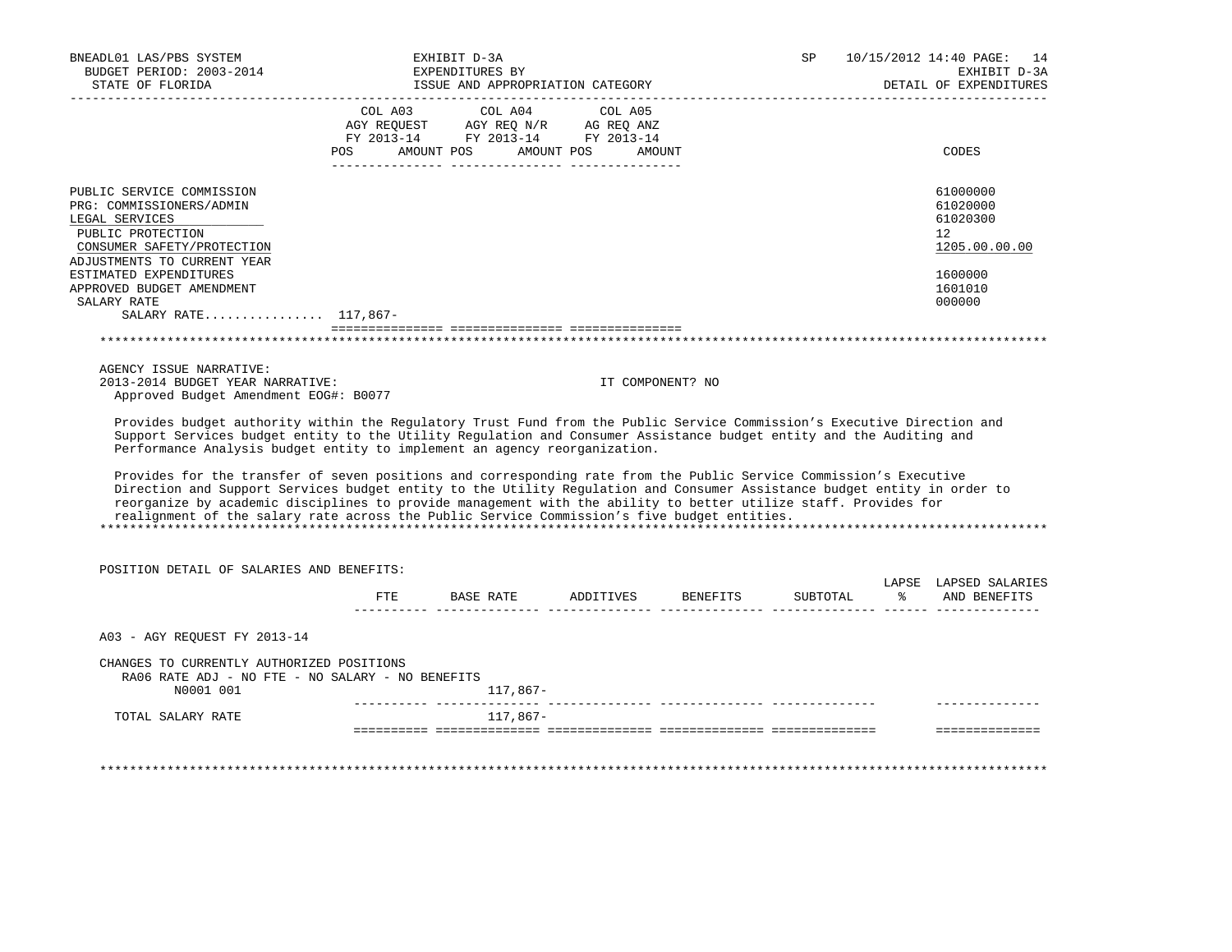| STATE OF FLORIDA                                                                                                                                                                                                                                                                                                                           |     | EXHIBIT D-3A<br>EXPENDITURES BY<br>ISSUE AND APPROPRIATION CATEGORY |                  |          | <b>SP</b> |               | 10/15/2012 14:40 PAGE:<br>14<br>EXHIBIT D-3A<br>DETAIL OF EXPENDITURES |
|--------------------------------------------------------------------------------------------------------------------------------------------------------------------------------------------------------------------------------------------------------------------------------------------------------------------------------------------|-----|---------------------------------------------------------------------|------------------|----------|-----------|---------------|------------------------------------------------------------------------|
|                                                                                                                                                                                                                                                                                                                                            |     | COL A03 COL A04 COL A05                                             |                  |          |           |               |                                                                        |
|                                                                                                                                                                                                                                                                                                                                            |     | AGY REQUEST AGY REQ N/R AG REQ ANZ                                  |                  |          |           |               |                                                                        |
|                                                                                                                                                                                                                                                                                                                                            |     | FY 2013-14 FY 2013-14 FY 2013-14                                    |                  |          |           |               |                                                                        |
|                                                                                                                                                                                                                                                                                                                                            | POS | AMOUNT POS<br>AMOUNT POS                                            | AMOUNT           |          |           |               | CODES                                                                  |
| PUBLIC SERVICE COMMISSION                                                                                                                                                                                                                                                                                                                  |     |                                                                     |                  |          |           |               | 61000000                                                               |
| PRG: COMMISSIONERS/ADMIN                                                                                                                                                                                                                                                                                                                   |     |                                                                     |                  |          |           |               | 61020000                                                               |
| LEGAL SERVICES                                                                                                                                                                                                                                                                                                                             |     |                                                                     |                  |          |           |               | 61020300                                                               |
| PUBLIC PROTECTION                                                                                                                                                                                                                                                                                                                          |     |                                                                     |                  |          |           |               | 12                                                                     |
| CONSUMER SAFETY/PROTECTION                                                                                                                                                                                                                                                                                                                 |     |                                                                     |                  |          |           |               | 1205.00.00.00                                                          |
| ADJUSTMENTS TO CURRENT YEAR                                                                                                                                                                                                                                                                                                                |     |                                                                     |                  |          |           |               |                                                                        |
| ESTIMATED EXPENDITURES                                                                                                                                                                                                                                                                                                                     |     |                                                                     |                  |          |           |               | 1600000                                                                |
| APPROVED BUDGET AMENDMENT                                                                                                                                                                                                                                                                                                                  |     |                                                                     |                  |          |           |               | 1601010                                                                |
| SALARY RATE                                                                                                                                                                                                                                                                                                                                |     |                                                                     |                  |          |           |               | 000000                                                                 |
| SALARY RATE 117,867-                                                                                                                                                                                                                                                                                                                       |     |                                                                     |                  |          |           |               |                                                                        |
|                                                                                                                                                                                                                                                                                                                                            |     |                                                                     |                  |          |           |               |                                                                        |
| AGENCY ISSUE NARRATIVE:                                                                                                                                                                                                                                                                                                                    |     |                                                                     |                  |          |           |               |                                                                        |
| 2013-2014 BUDGET YEAR NARRATIVE:<br>Approved Budget Amendment EOG#: B0077                                                                                                                                                                                                                                                                  |     |                                                                     | IT COMPONENT? NO |          |           |               |                                                                        |
| Performance Analysis budget entity to implement an agency reorganization.<br>Provides for the transfer of seven positions and corresponding rate from the Public Service Commission's Executive                                                                                                                                            |     |                                                                     |                  |          |           |               |                                                                        |
| Direction and Support Services budget entity to the Utility Regulation and Consumer Assistance budget entity in order to<br>reorganize by academic disciplines to provide management with the ability to better utilize staff. Provides for<br>realignment of the salary rate across the Public Service Commission's five budget entities. |     |                                                                     |                  |          |           |               |                                                                        |
|                                                                                                                                                                                                                                                                                                                                            |     |                                                                     |                  |          |           |               |                                                                        |
| POSITION DETAIL OF SALARIES AND BENEFITS:                                                                                                                                                                                                                                                                                                  |     |                                                                     |                  |          |           |               |                                                                        |
|                                                                                                                                                                                                                                                                                                                                            | FTE | BASE RATE                                                           | ADDITIVES        | BENEFITS | SUBTOTAL  | $\frac{1}{6}$ | AND BENEFITS                                                           |
| A03 - AGY REQUEST FY 2013-14                                                                                                                                                                                                                                                                                                               |     |                                                                     |                  |          |           |               |                                                                        |
| CHANGES TO CURRENTLY AUTHORIZED POSITIONS<br>RA06 RATE ADJ - NO FTE - NO SALARY - NO BENEFITS                                                                                                                                                                                                                                              |     |                                                                     |                  |          |           |               | LAPSE LAPSED SALARIES                                                  |
| N0001 001                                                                                                                                                                                                                                                                                                                                  |     | 117,867-                                                            |                  |          |           |               |                                                                        |
| TOTAL SALARY RATE                                                                                                                                                                                                                                                                                                                          |     | 117,867-                                                            |                  |          |           |               | ==============                                                         |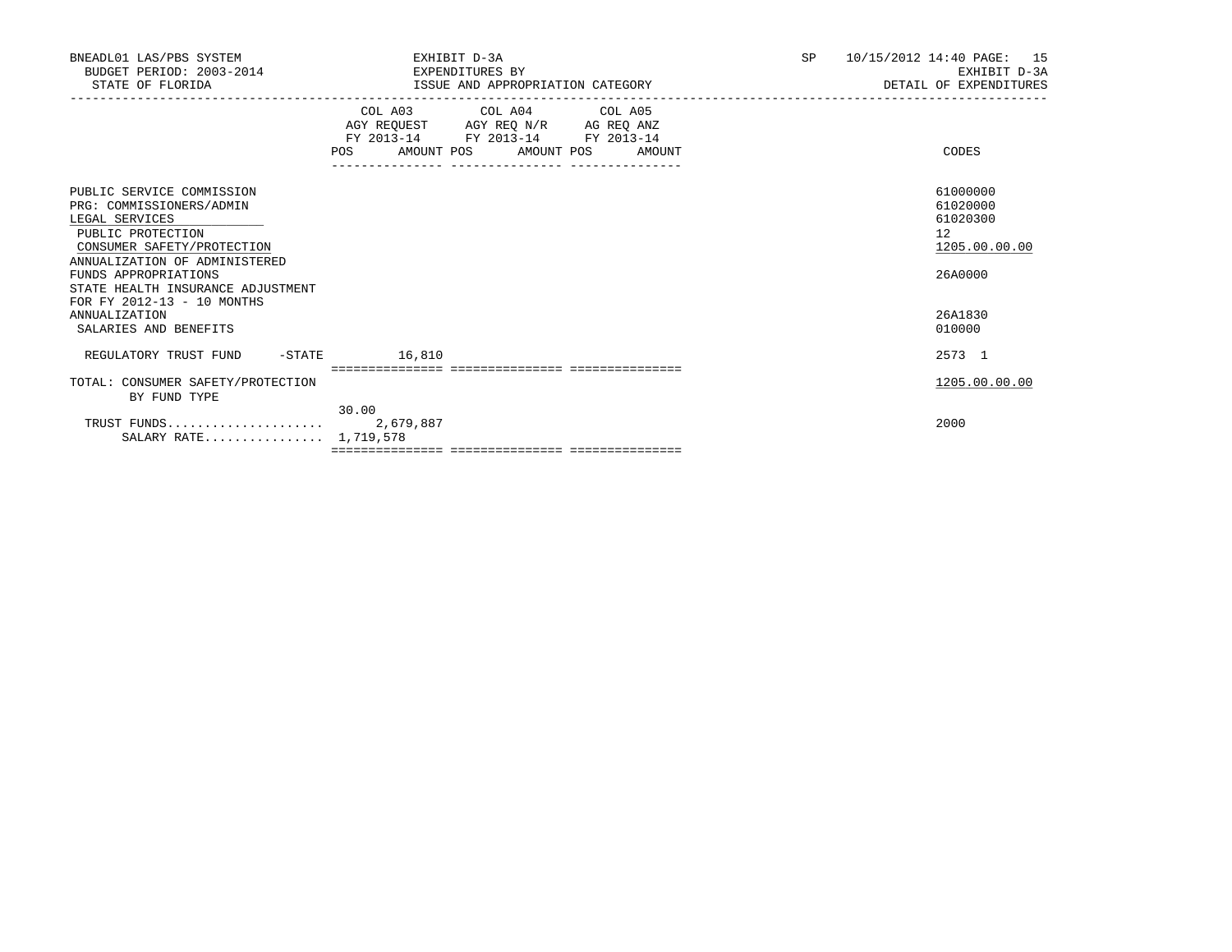| BNEADL01 LAS/PBS SYSTEM<br>BUDGET PERIOD: 2003-2014<br>STATE OF FLORIDA                                                                                                                                                                                | EXHIBIT D-3A<br>EXPENDITURES BY<br>ISSUE AND APPROPRIATION CATEGORY                                                                                    | SP | 10/15/2012 14:40 PAGE: 15<br>EXHIBIT D-3A<br>DETAIL OF EXPENDITURES |
|--------------------------------------------------------------------------------------------------------------------------------------------------------------------------------------------------------------------------------------------------------|--------------------------------------------------------------------------------------------------------------------------------------------------------|----|---------------------------------------------------------------------|
|                                                                                                                                                                                                                                                        | COL A03 COL A04 COL A05<br>AGY REQUEST AGY REQ N/R AG REQ ANZ<br>FY 2013-14 FY 2013-14 FY 2013-14<br>POS AMOUNT POS AMOUNT POS AMOUNT<br>------------- |    | CODES                                                               |
| PUBLIC SERVICE COMMISSION<br>PRG: COMMISSIONERS/ADMIN<br>LEGAL SERVICES<br>PUBLIC PROTECTION<br>CONSUMER SAFETY/PROTECTION<br>ANNUALIZATION OF ADMINISTERED<br>FUNDS APPROPRIATIONS<br>STATE HEALTH INSURANCE ADJUSTMENT<br>FOR FY 2012-13 - 10 MONTHS |                                                                                                                                                        |    | 61000000<br>61020000<br>61020300<br>12<br>1205.00.00.00<br>26A0000  |
| <b>ANNUALIZATION</b><br>SALARIES AND BENEFITS                                                                                                                                                                                                          |                                                                                                                                                        |    | 26A1830<br>010000                                                   |
| $-$ STATE<br>REGULATORY TRUST FUND                                                                                                                                                                                                                     | 16,810                                                                                                                                                 |    | 2573 1                                                              |
| TOTAL: CONSUMER SAFETY/PROTECTION<br>BY FUND TYPE                                                                                                                                                                                                      | 30.00                                                                                                                                                  |    | 1205.00.00.00                                                       |
| SALARY RATE 1,719,578                                                                                                                                                                                                                                  |                                                                                                                                                        |    | 2000                                                                |
|                                                                                                                                                                                                                                                        |                                                                                                                                                        |    |                                                                     |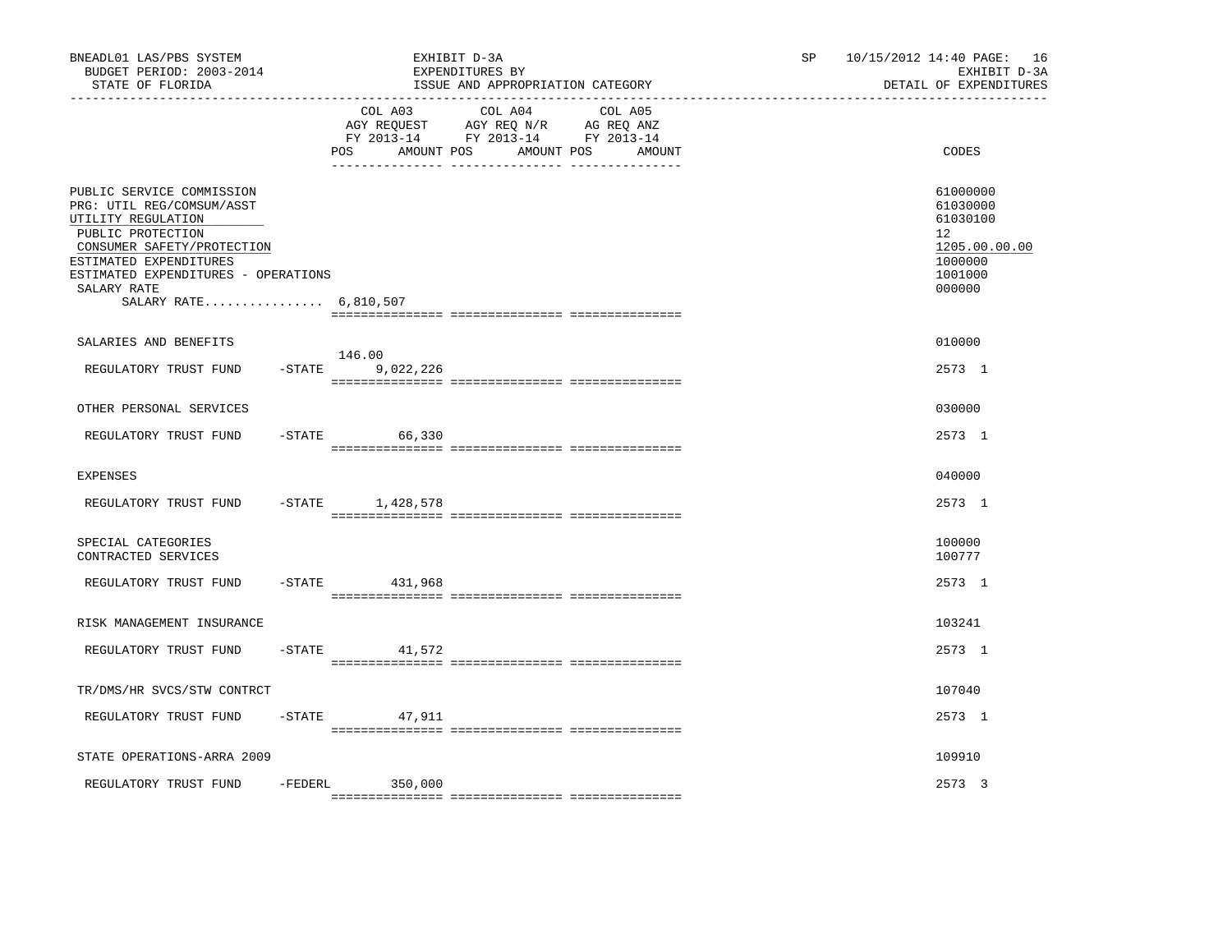| BNEADL01 LAS/PBS SYSTEM<br>BUDGET PERIOD: 2003-2014<br>STATE OF FLORIDA<br>__________________                                                                                                                                            |           |                              | EXHIBIT D-3A<br>EXPENDITURES BY<br>ISSUE AND APPROPRIATION CATEGORY                             |                   | SP. | 10/15/2012 14:40 PAGE: 16<br>EXHIBIT D-3A<br>DETAIL OF EXPENDITURES                     |
|------------------------------------------------------------------------------------------------------------------------------------------------------------------------------------------------------------------------------------------|-----------|------------------------------|-------------------------------------------------------------------------------------------------|-------------------|-----|-----------------------------------------------------------------------------------------|
|                                                                                                                                                                                                                                          |           | COL A03<br>AMOUNT POS<br>POS | COL A04<br>AGY REQUEST AGY REQ N/R AG REQ ANZ<br>FY 2013-14 FY 2013-14 FY 2013-14<br>AMOUNT POS | COL A05<br>AMOUNT |     | CODES                                                                                   |
| PUBLIC SERVICE COMMISSION<br>PRG: UTIL REG/COMSUM/ASST<br>UTILITY REGULATION<br>PUBLIC PROTECTION<br>CONSUMER SAFETY/PROTECTION<br>ESTIMATED EXPENDITURES<br>ESTIMATED EXPENDITURES - OPERATIONS<br>SALARY RATE<br>SALARY RATE 6,810,507 |           |                              |                                                                                                 |                   |     | 61000000<br>61030000<br>61030100<br>12<br>1205.00.00.00<br>1000000<br>1001000<br>000000 |
| SALARIES AND BENEFITS                                                                                                                                                                                                                    |           |                              |                                                                                                 |                   |     | 010000                                                                                  |
| REGULATORY TRUST FUND                                                                                                                                                                                                                    | $-$ STATE | 146.00<br>9,022,226          |                                                                                                 |                   |     | 2573 1                                                                                  |
| OTHER PERSONAL SERVICES                                                                                                                                                                                                                  |           |                              |                                                                                                 |                   |     | 030000                                                                                  |
| REGULATORY TRUST FUND                                                                                                                                                                                                                    |           | $-$ STATE<br>66,330          |                                                                                                 |                   |     | 2573 1                                                                                  |
| <b>EXPENSES</b>                                                                                                                                                                                                                          |           |                              |                                                                                                 |                   |     | 040000                                                                                  |
| REGULATORY TRUST FUND                                                                                                                                                                                                                    |           | $-$ STATE $1,428,578$        |                                                                                                 |                   |     | 2573 1                                                                                  |
| SPECIAL CATEGORIES<br>CONTRACTED SERVICES                                                                                                                                                                                                |           |                              |                                                                                                 |                   |     | 100000<br>100777                                                                        |
| REGULATORY TRUST FUND                                                                                                                                                                                                                    | $-$ STATE | 431,968                      |                                                                                                 |                   |     | 2573 1                                                                                  |
| RISK MANAGEMENT INSURANCE                                                                                                                                                                                                                |           |                              |                                                                                                 |                   |     | 103241                                                                                  |
| REGULATORY TRUST FUND                                                                                                                                                                                                                    | $-$ STATE | 41,572                       |                                                                                                 |                   |     | 2573 1                                                                                  |
| TR/DMS/HR SVCS/STW CONTRCT                                                                                                                                                                                                               |           |                              |                                                                                                 |                   |     | 107040                                                                                  |
| REGULATORY TRUST FUND                                                                                                                                                                                                                    | $-$ STATE | 47,911                       |                                                                                                 |                   |     | 2573 1                                                                                  |
| STATE OPERATIONS-ARRA 2009                                                                                                                                                                                                               |           |                              |                                                                                                 |                   |     | 109910                                                                                  |
| REGULATORY TRUST FUND                                                                                                                                                                                                                    | -FEDERL   | 350,000                      |                                                                                                 |                   |     | 2573 3                                                                                  |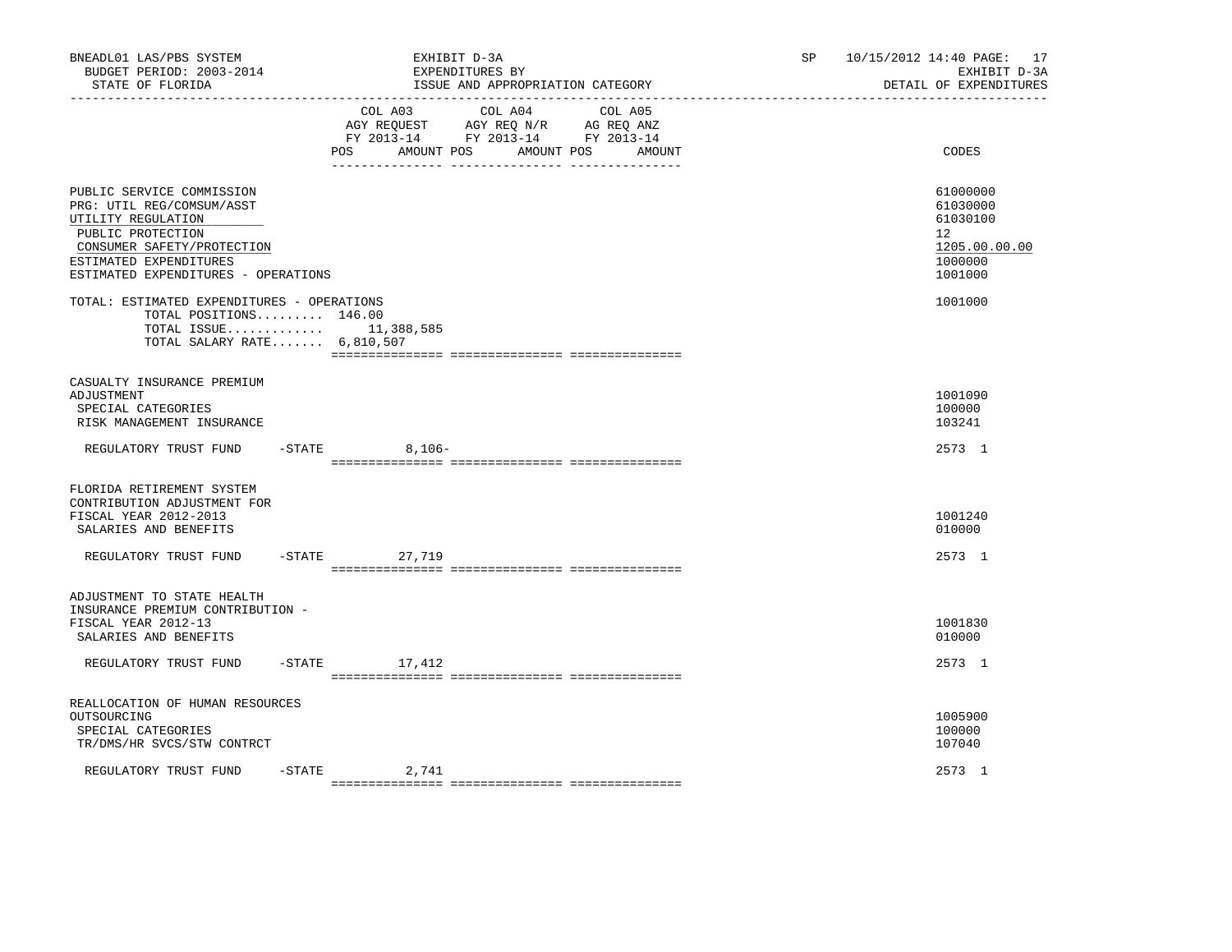| BNEADL01 LAS/PBS SYSTEM<br>BUDGET PERIOD: 2003-2014<br>STATE OF FLORIDA                                                                                                                          |                    | EXHIBIT D-3A<br>EXPENDITURES BY<br>ISSUE AND APPROPRIATION CATEGORY                                                                                       | SP | 10/15/2012 14:40 PAGE: 17<br>EXHIBIT D-3A<br>DETAIL OF EXPENDITURES                        |
|--------------------------------------------------------------------------------------------------------------------------------------------------------------------------------------------------|--------------------|-----------------------------------------------------------------------------------------------------------------------------------------------------------|----|--------------------------------------------------------------------------------------------|
|                                                                                                                                                                                                  | POS                | COL A03 COL A04 COL A05<br>AGY REQUEST AGY REQ $\texttt{N/R}$ AG REQ ANZ<br>FY 2013-14 FY 2013-14 FY 2013-14<br>AMOUNT POS<br>AMOUNT POS<br><b>AMOUNT</b> |    | CODES                                                                                      |
| PUBLIC SERVICE COMMISSION<br>PRG: UTIL REG/COMSUM/ASST<br>UTILITY REGULATION<br>PUBLIC PROTECTION<br>CONSUMER SAFETY/PROTECTION<br>ESTIMATED EXPENDITURES<br>ESTIMATED EXPENDITURES - OPERATIONS |                    |                                                                                                                                                           |    | 61000000<br>61030000<br>61030100<br>12 <sup>°</sup><br>1205.00.00.00<br>1000000<br>1001000 |
| TOTAL: ESTIMATED EXPENDITURES - OPERATIONS<br>TOTAL POSITIONS 146.00<br>TOTAL ISSUE $11,388,585$<br>TOTAL SALARY RATE $6,810,507$                                                                |                    |                                                                                                                                                           |    | 1001000                                                                                    |
| CASUALTY INSURANCE PREMIUM<br>ADJUSTMENT<br>SPECIAL CATEGORIES<br>RISK MANAGEMENT INSURANCE<br>REGULATORY TRUST FUND                                                                             | $-$ STATE 8, 106 - |                                                                                                                                                           |    | 1001090<br>100000<br>103241<br>2573 1                                                      |
|                                                                                                                                                                                                  |                    |                                                                                                                                                           |    |                                                                                            |
| FLORIDA RETIREMENT SYSTEM<br>CONTRIBUTION ADJUSTMENT FOR<br>FISCAL YEAR 2012-2013<br>SALARIES AND BENEFITS                                                                                       |                    |                                                                                                                                                           |    | 1001240<br>010000                                                                          |
| REGULATORY TRUST FUND                                                                                                                                                                            | -STATE 27,719      |                                                                                                                                                           |    | 2573 1                                                                                     |
| ADJUSTMENT TO STATE HEALTH<br>INSURANCE PREMIUM CONTRIBUTION -<br>FISCAL YEAR 2012-13<br>SALARIES AND BENEFITS                                                                                   |                    |                                                                                                                                                           |    | 1001830<br>010000                                                                          |
| REGULATORY TRUST FUND                                                                                                                                                                            | $-STATE$<br>17,412 |                                                                                                                                                           |    | 2573 1                                                                                     |
| REALLOCATION OF HUMAN RESOURCES<br>OUTSOURCING<br>SPECIAL CATEGORIES<br>TR/DMS/HR SVCS/STW CONTRCT                                                                                               |                    |                                                                                                                                                           |    | 1005900<br>100000<br>107040                                                                |
| REGULATORY TRUST FUND                                                                                                                                                                            | $-$ STATE<br>2,741 |                                                                                                                                                           |    | 2573 1                                                                                     |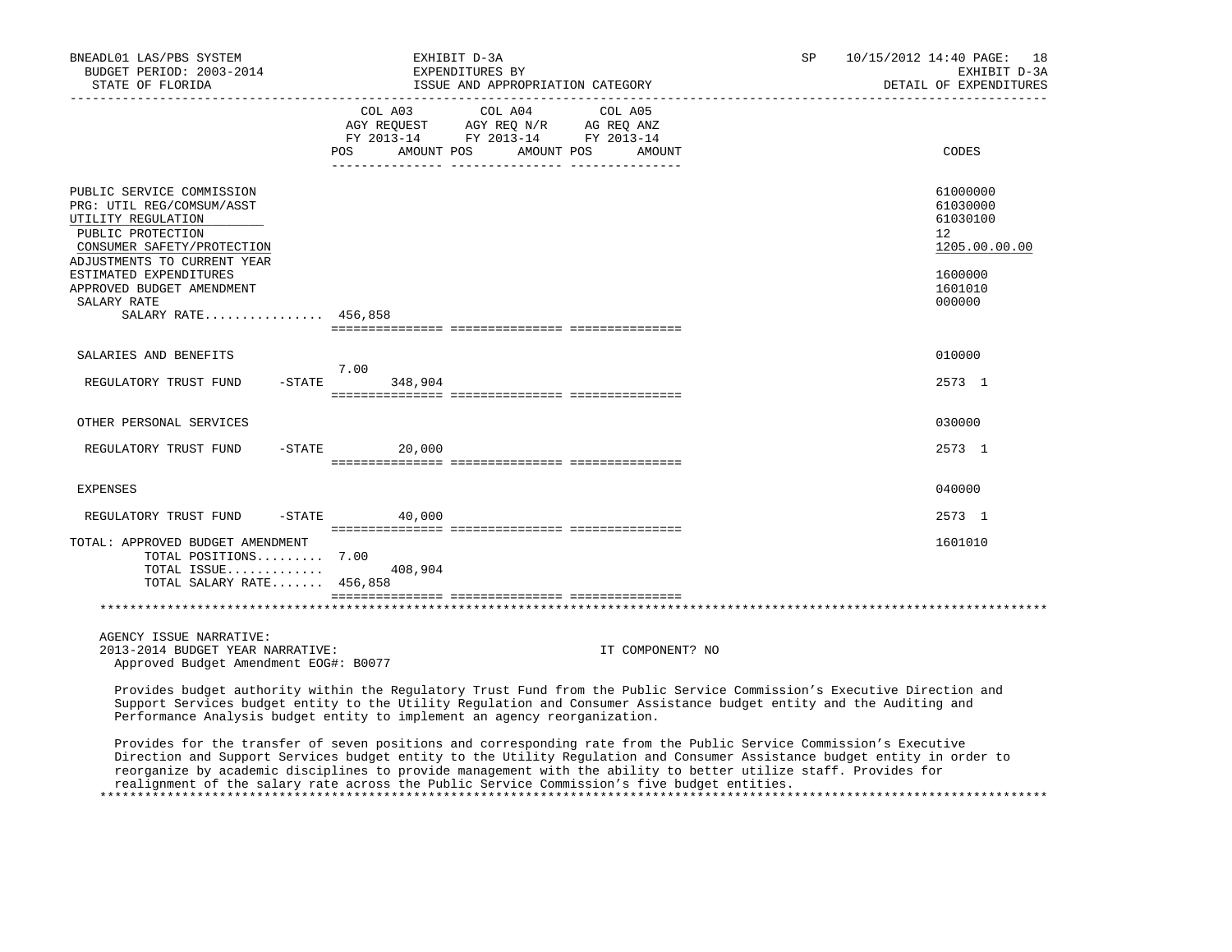| BNEADL01 LAS/PBS SYSTEM<br>BUDGET PERIOD: 2003-2014<br>STATE OF FLORIDA                                                                                                                                                                                     |                              | EXHIBIT D-3A<br>EXPENDITURES BY<br>ISSUE AND APPROPRIATION CATEGORY                                                                                                                                                                            | SP. | 10/15/2012 14:40 PAGE: 18<br>EXHIBIT D-3A<br>DETAIL OF EXPENDITURES                               |
|-------------------------------------------------------------------------------------------------------------------------------------------------------------------------------------------------------------------------------------------------------------|------------------------------|------------------------------------------------------------------------------------------------------------------------------------------------------------------------------------------------------------------------------------------------|-----|---------------------------------------------------------------------------------------------------|
|                                                                                                                                                                                                                                                             | COL A03<br>POS<br>AMOUNT POS | COL A04<br>COL A05<br>AGY REQUEST AGY REQ N/R AG REQ ANZ<br>FY 2013-14 FY 2013-14 FY 2013-14<br>AMOUNT POS<br>AMOUNT                                                                                                                           |     | CODES                                                                                             |
| PUBLIC SERVICE COMMISSION<br>PRG: UTIL REG/COMSUM/ASST<br>UTILITY REGULATION<br>PUBLIC PROTECTION<br>CONSUMER SAFETY/PROTECTION<br>ADJUSTMENTS TO CURRENT YEAR<br>ESTIMATED EXPENDITURES<br>APPROVED BUDGET AMENDMENT<br>SALARY RATE<br>SALARY RATE 456,858 |                              |                                                                                                                                                                                                                                                |     | 61000000<br>61030000<br>61030100<br>$12^{\circ}$<br>1205.00.00.00<br>1600000<br>1601010<br>000000 |
| SALARIES AND BENEFITS                                                                                                                                                                                                                                       | 7.00                         |                                                                                                                                                                                                                                                |     | 010000                                                                                            |
| REGULATORY TRUST FUND                                                                                                                                                                                                                                       | $-$ STATE<br>348,904         |                                                                                                                                                                                                                                                |     | 2573 1                                                                                            |
| OTHER PERSONAL SERVICES                                                                                                                                                                                                                                     |                              |                                                                                                                                                                                                                                                |     | 030000                                                                                            |
| REGULATORY TRUST FUND                                                                                                                                                                                                                                       | $-$ STATE 20,000             |                                                                                                                                                                                                                                                |     | 2573 1                                                                                            |
| <b>EXPENSES</b>                                                                                                                                                                                                                                             |                              |                                                                                                                                                                                                                                                |     | 040000                                                                                            |
| REGULATORY TRUST FUND                                                                                                                                                                                                                                       | $-$ STATE<br>40,000          |                                                                                                                                                                                                                                                |     | 2573 1                                                                                            |
| TOTAL: APPROVED BUDGET AMENDMENT<br>TOTAL POSITIONS 7.00<br>TOTAL ISSUE<br>TOTAL SALARY RATE 456,858                                                                                                                                                        | 408,904                      |                                                                                                                                                                                                                                                |     | 1601010                                                                                           |
|                                                                                                                                                                                                                                                             |                              |                                                                                                                                                                                                                                                |     |                                                                                                   |
| AGENCY ISSUE NARRATIVE:<br>2013-2014 BUDGET YEAR NARRATIVE:<br>Approved Budget Amendment EOG#: B0077                                                                                                                                                        |                              | IT COMPONENT? NO                                                                                                                                                                                                                               |     |                                                                                                   |
|                                                                                                                                                                                                                                                             |                              | Provides budget authority within the Regulatory Trust Fund from the Public Service Commission's Executive Direction and<br>Support Services budget entity to the Utility Regulation and Consumer Assistance budget entity and the Auditing and |     |                                                                                                   |

 Support Services budget entity to the Utility Regulation and Consumer Assistance budget entity and the Auditing and Performance Analysis budget entity to implement an agency reorganization.

 Provides for the transfer of seven positions and corresponding rate from the Public Service Commission's Executive Direction and Support Services budget entity to the Utility Regulation and Consumer Assistance budget entity in order to reorganize by academic disciplines to provide management with the ability to better utilize staff. Provides for realignment of the salary rate across the Public Service Commission's five budget entities. \*\*\*\*\*\*\*\*\*\*\*\*\*\*\*\*\*\*\*\*\*\*\*\*\*\*\*\*\*\*\*\*\*\*\*\*\*\*\*\*\*\*\*\*\*\*\*\*\*\*\*\*\*\*\*\*\*\*\*\*\*\*\*\*\*\*\*\*\*\*\*\*\*\*\*\*\*\*\*\*\*\*\*\*\*\*\*\*\*\*\*\*\*\*\*\*\*\*\*\*\*\*\*\*\*\*\*\*\*\*\*\*\*\*\*\*\*\*\*\*\*\*\*\*\*\*\*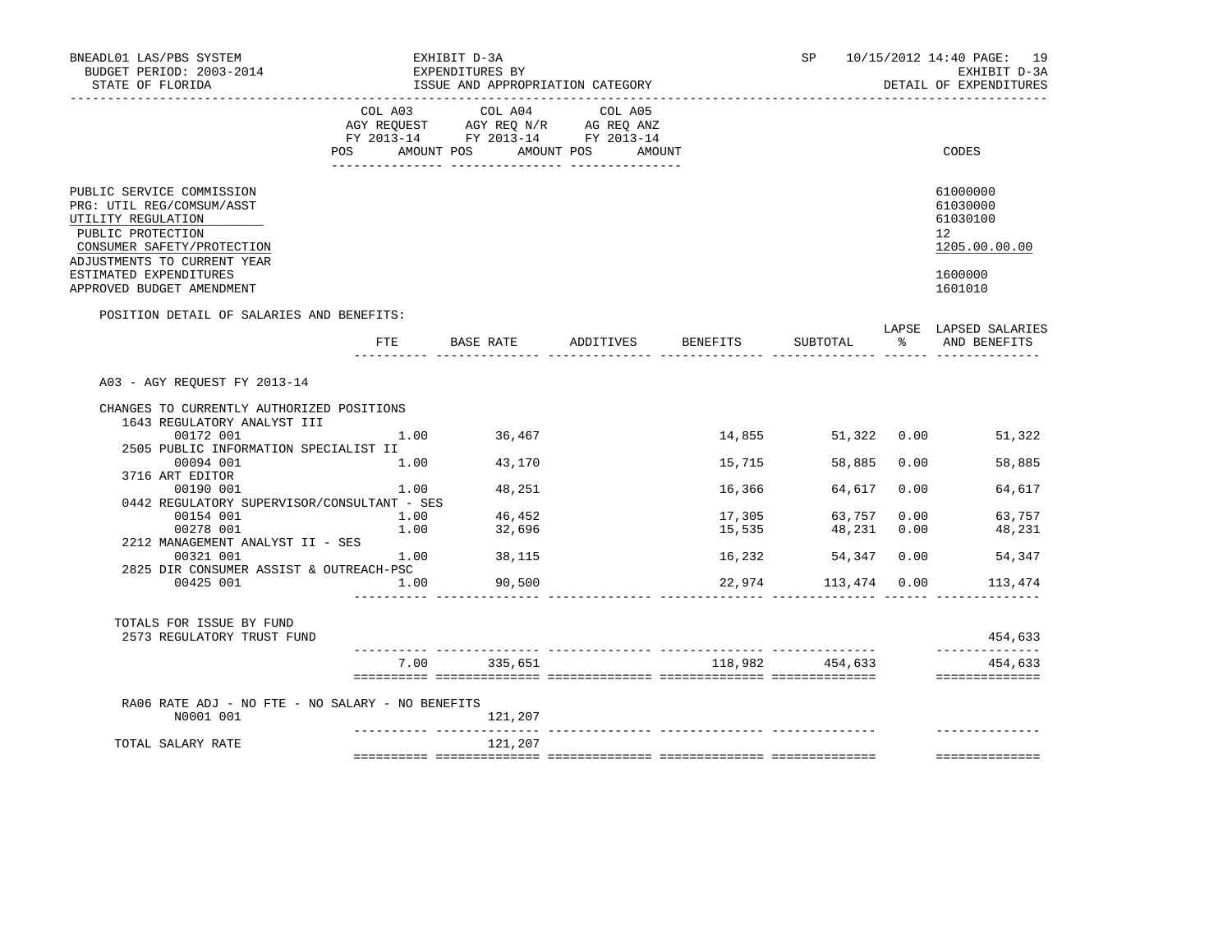| BNEADL01 LAS/PBS SYSTEM<br>BUDGET PERIOD: 2003-2014<br>STATE OF FLORIDA                                                                                        |                                      | EXHIBIT D-3A<br>EXPENDITURES BY<br>ISSUE AND APPROPRIATION CATEGORY               |                     |          | SP              |      | 10/15/2012 14:40 PAGE: 19<br>EXHIBIT D-3A<br>DETAIL OF EXPENDITURES |
|----------------------------------------------------------------------------------------------------------------------------------------------------------------|--------------------------------------|-----------------------------------------------------------------------------------|---------------------|----------|-----------------|------|---------------------------------------------------------------------|
|                                                                                                                                                                | COL A03<br>POS AMOUNT POS AMOUNT POS | COL A04<br>AGY REQUEST AGY REQ N/R AG REQ ANZ<br>FY 2013-14 FY 2013-14 FY 2013-14 | COL A05<br>AMOUNT   |          |                 |      | CODES                                                               |
| PUBLIC SERVICE COMMISSION<br>PRG: UTIL REG/COMSUM/ASST<br>UTILITY REGULATION<br>PUBLIC PROTECTION<br>CONSUMER SAFETY/PROTECTION<br>ADJUSTMENTS TO CURRENT YEAR |                                      |                                                                                   |                     |          |                 |      | 61000000<br>61030000<br>61030100<br>12<br>1205.00.00.00             |
| ESTIMATED EXPENDITURES<br>APPROVED BUDGET AMENDMENT                                                                                                            |                                      |                                                                                   |                     |          |                 |      | 1600000<br>1601010                                                  |
| POSITION DETAIL OF SALARIES AND BENEFITS:                                                                                                                      |                                      |                                                                                   |                     |          |                 |      |                                                                     |
|                                                                                                                                                                | FTE                                  |                                                                                   | BASE RATE ADDITIVES | BENEFITS | SUBTOTAL        | ႜၟ   | LAPSE LAPSED SALARIES<br>AND BENEFITS                               |
| A03 - AGY REQUEST FY 2013-14                                                                                                                                   |                                      |                                                                                   |                     |          |                 |      |                                                                     |
| CHANGES TO CURRENTLY AUTHORIZED POSITIONS<br>1643 REGULATORY ANALYST III                                                                                       |                                      |                                                                                   |                     |          |                 |      |                                                                     |
| 00172 001                                                                                                                                                      | 1.00                                 | 36,467                                                                            |                     | 14,855   | 51,322 0.00     |      | 51,322                                                              |
| 2505 PUBLIC INFORMATION SPECIALIST II                                                                                                                          |                                      |                                                                                   |                     |          |                 |      |                                                                     |
| 00094 001                                                                                                                                                      | 1.00                                 | 43,170                                                                            |                     | 15,715   | 58,885          | 0.00 | 58,885                                                              |
| 3716 ART EDITOR<br>00190 001                                                                                                                                   | 1.00                                 | 48,251                                                                            |                     | 16,366   | 64,617          | 0.00 | 64,617                                                              |
| 0442 REGULATORY SUPERVISOR/CONSULTANT - SES                                                                                                                    |                                      |                                                                                   |                     |          |                 |      |                                                                     |
| 00154 001                                                                                                                                                      | 1.00                                 | 46,452                                                                            |                     | 17,305   | 63,757          | 0.00 | 63,757                                                              |
| 00278 001                                                                                                                                                      | 1.00                                 | 32,696                                                                            |                     | 15,535   | 48,231          | 0.00 | 48,231                                                              |
| 2212 MANAGEMENT ANALYST II - SES                                                                                                                               |                                      |                                                                                   |                     |          |                 |      |                                                                     |
| 00321 001                                                                                                                                                      | 1.00                                 | 38,115                                                                            |                     | 16,232   | 54,347          | 0.00 | 54,347                                                              |
| 2825 DIR CONSUMER ASSIST & OUTREACH-PSC                                                                                                                        |                                      |                                                                                   |                     |          |                 |      |                                                                     |
| 00425 001                                                                                                                                                      | 1.00                                 | 90,500                                                                            |                     | 22,974   | 113,474 0.00    |      | 113,474                                                             |
| TOTALS FOR ISSUE BY FUND                                                                                                                                       |                                      |                                                                                   |                     |          |                 |      |                                                                     |
| 2573 REGULATORY TRUST FUND                                                                                                                                     |                                      |                                                                                   |                     |          |                 |      | 454,633<br>______________                                           |
|                                                                                                                                                                |                                      | 7.00 335,651                                                                      |                     |          | 118,982 454,633 |      | 454,633<br>==============                                           |
|                                                                                                                                                                |                                      |                                                                                   |                     |          |                 |      |                                                                     |
| RA06 RATE ADJ - NO FTE - NO SALARY - NO BENEFITS<br>N0001 001                                                                                                  |                                      | 121,207<br>$- - - - - - - -$                                                      |                     |          |                 |      |                                                                     |
| TOTAL SALARY RATE                                                                                                                                              |                                      | 121,207                                                                           |                     |          |                 |      |                                                                     |
|                                                                                                                                                                |                                      |                                                                                   |                     |          |                 |      | ==============                                                      |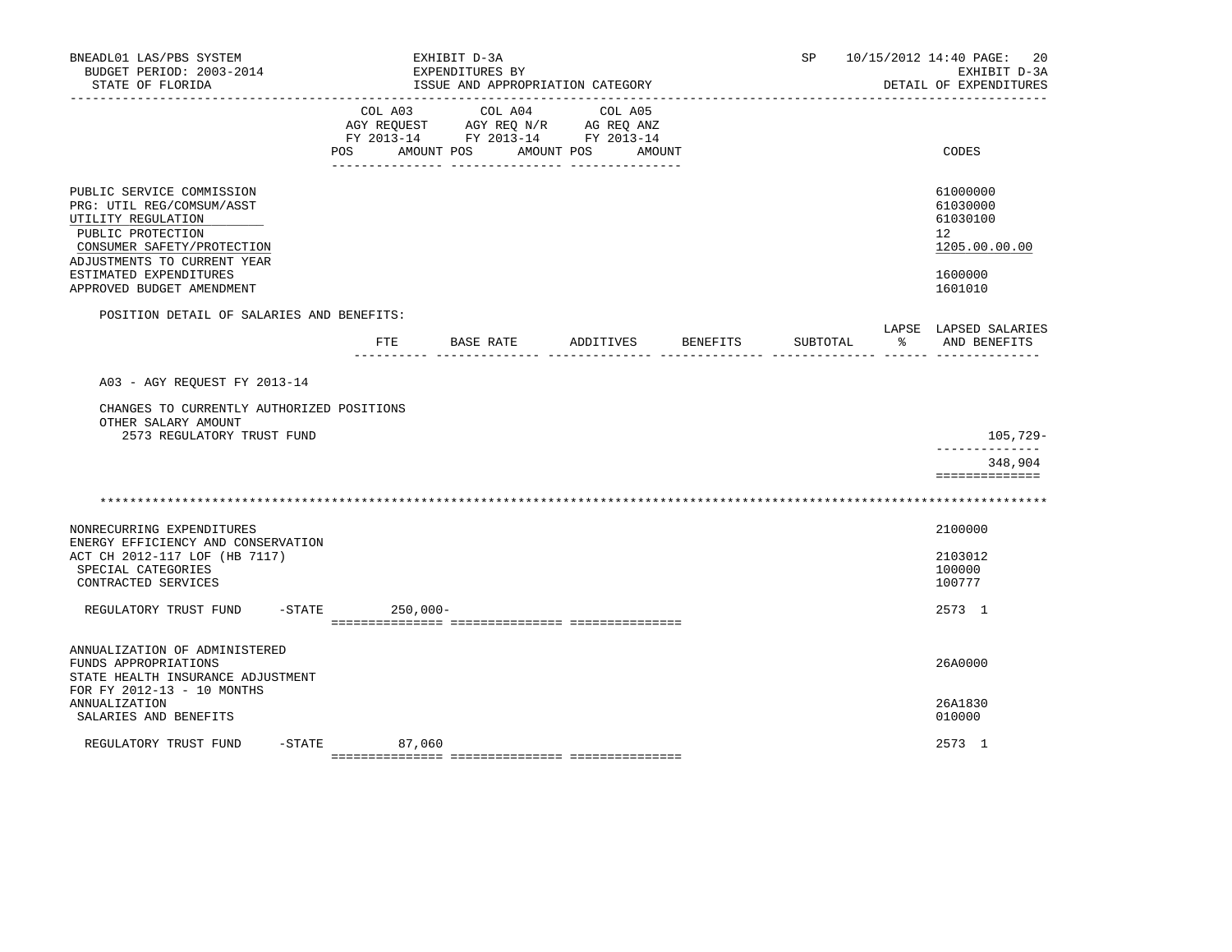| BNEADL01 LAS/PBS SYSTEM<br>BUDGET PERIOD: 2003-2014<br>STATE OF FLORIDA                                                                                                                  |                           | EXHIBIT D-3A<br>EXPENDITURES BY<br>ISSUE AND APPROPRIATION CATEGORY                             |                   |          | SP       |    | 10/15/2012 14:40 PAGE: 20<br>EXHIBIT D-3A<br>DETAIL OF EXPENDITURES             |
|------------------------------------------------------------------------------------------------------------------------------------------------------------------------------------------|---------------------------|-------------------------------------------------------------------------------------------------|-------------------|----------|----------|----|---------------------------------------------------------------------------------|
|                                                                                                                                                                                          | COL A03<br>POS AMOUNT POS | COL A04<br>AGY REQUEST AGY REQ N/R AG REQ ANZ<br>FY 2013-14 FY 2013-14 FY 2013-14<br>AMOUNT POS | COL A05<br>AMOUNT |          |          |    | CODES                                                                           |
| PUBLIC SERVICE COMMISSION<br>PRG: UTIL REG/COMSUM/ASST<br>UTILITY REGULATION<br>PUBLIC PROTECTION<br>CONSUMER SAFETY/PROTECTION<br>ADJUSTMENTS TO CURRENT YEAR<br>ESTIMATED EXPENDITURES |                           |                                                                                                 |                   |          |          |    | 61000000<br>61030000<br>61030100<br>12 <sup>°</sup><br>1205.00.00.00<br>1600000 |
| APPROVED BUDGET AMENDMENT                                                                                                                                                                |                           |                                                                                                 |                   |          |          |    | 1601010                                                                         |
| POSITION DETAIL OF SALARIES AND BENEFITS:                                                                                                                                                | ETE                       | BASE RATE                                                                                       | ADDITIVES         | BENEFITS | SUBTOTAL | ႜႜ | LAPSE LAPSED SALARIES<br>AND BENEFITS                                           |
| A03 - AGY REQUEST FY 2013-14                                                                                                                                                             |                           |                                                                                                 |                   |          |          |    |                                                                                 |
| CHANGES TO CURRENTLY AUTHORIZED POSITIONS<br>OTHER SALARY AMOUNT<br>2573 REGULATORY TRUST FUND                                                                                           |                           |                                                                                                 |                   |          |          |    | 105,729-                                                                        |
|                                                                                                                                                                                          |                           |                                                                                                 |                   |          |          |    | 348,904<br>==============                                                       |
|                                                                                                                                                                                          |                           |                                                                                                 |                   |          |          |    |                                                                                 |
| NONRECURRING EXPENDITURES<br>ENERGY EFFICIENCY AND CONSERVATION<br>ACT CH 2012-117 LOF (HB 7117)<br>SPECIAL CATEGORIES<br>CONTRACTED SERVICES                                            |                           |                                                                                                 |                   |          |          |    | 2100000<br>2103012<br>100000<br>100777                                          |
| $-$ STATE<br>REGULATORY TRUST FUND                                                                                                                                                       | $250,000 -$               |                                                                                                 |                   |          |          |    | 2573 1                                                                          |
|                                                                                                                                                                                          |                           |                                                                                                 |                   |          |          |    |                                                                                 |
| ANNUALIZATION OF ADMINISTERED<br>FUNDS APPROPRIATIONS<br>STATE HEALTH INSURANCE ADJUSTMENT<br>FOR FY 2012-13 - 10 MONTHS                                                                 |                           |                                                                                                 |                   |          |          |    | 26A0000                                                                         |
| <b>ANNUALIZATION</b><br>SALARIES AND BENEFITS                                                                                                                                            |                           |                                                                                                 |                   |          |          |    | 26A1830<br>010000                                                               |
| REGULATORY TRUST FUND                                                                                                                                                                    | $-STATE$ 87,060           |                                                                                                 |                   |          |          |    | 2573 1                                                                          |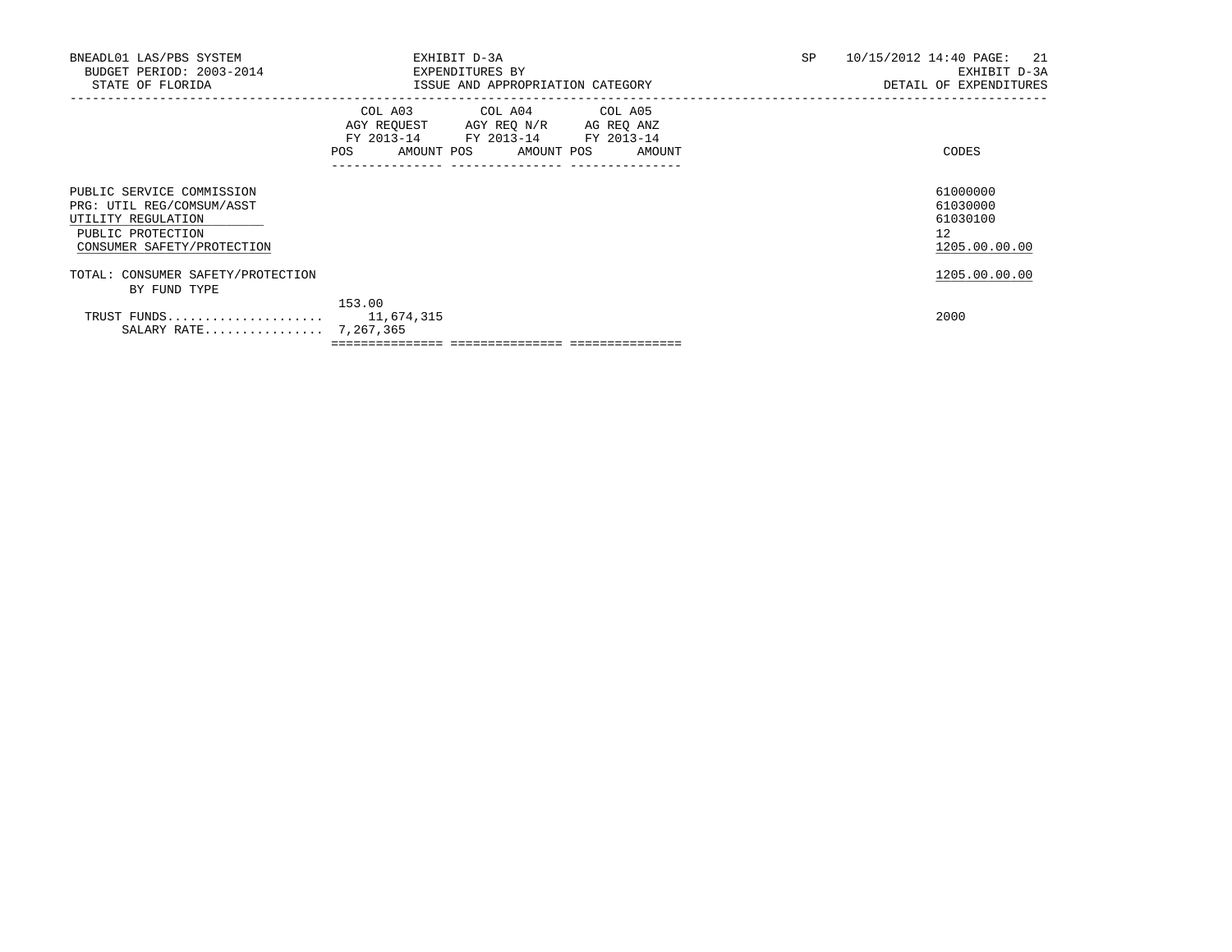| BNEADL01 LAS/PBS SYSTEM<br>BUDGET PERIOD: 2003-2014<br>STATE OF FLORIDA                                                         | EXHIBIT D-3A<br>EXPENDITURES BY<br>ISSUE AND APPROPRIATION CATEGORY                                                                   | SP | 10/15/2012 14:40 PAGE:<br>21<br>EXHIBIT D-3A<br>DETAIL OF EXPENDITURES |
|---------------------------------------------------------------------------------------------------------------------------------|---------------------------------------------------------------------------------------------------------------------------------------|----|------------------------------------------------------------------------|
|                                                                                                                                 | COL A03 COL A04 COL A05<br>AGY REQUEST AGY REQ N/R AG REQ ANZ<br>FY 2013-14 FY 2013-14 FY 2013-14<br>POS AMOUNT POS AMOUNT POS AMOUNT |    | CODES                                                                  |
| PUBLIC SERVICE COMMISSION<br>PRG: UTIL REG/COMSUM/ASST<br>UTILITY REGULATION<br>PUBLIC PROTECTION<br>CONSUMER SAFETY/PROTECTION |                                                                                                                                       |    | 61000000<br>61030000<br>61030100<br>12<br>1205.00.00.00                |
| TOTAL: CONSUMER SAFETY/PROTECTION<br>BY FUND TYPE                                                                               |                                                                                                                                       |    | 1205.00.00.00                                                          |
| SALARY RATE 7,267,365                                                                                                           | 153.00                                                                                                                                |    | 2000                                                                   |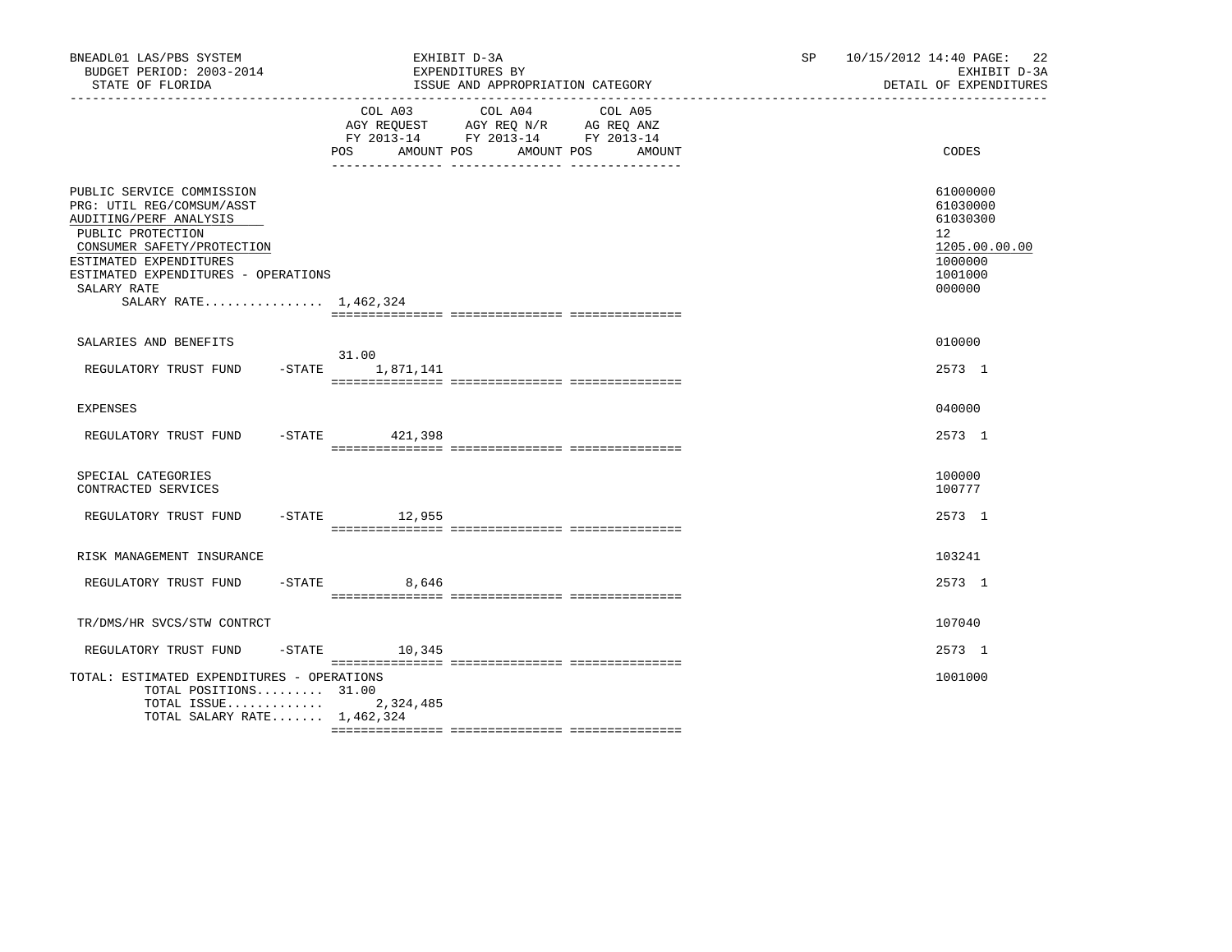| BNEADL01 LAS/PBS SYSTEM<br>BUDGET PERIOD: 2003-2014<br>STATE OF FLORIDA                                                                                                                                                                      | EXHIBIT D-3A<br>EXPENDITURES BY<br>ISSUE AND APPROPRIATION CATEGORY                                                                                                                                                                                               | 10/15/2012 14:40 PAGE: 22<br>SP <sub>2</sub><br>EXHIBIT D-3A<br>DETAIL OF EXPENDITURES               |
|----------------------------------------------------------------------------------------------------------------------------------------------------------------------------------------------------------------------------------------------|-------------------------------------------------------------------------------------------------------------------------------------------------------------------------------------------------------------------------------------------------------------------|------------------------------------------------------------------------------------------------------|
|                                                                                                                                                                                                                                              | COL A03 COL A04<br>COL A05<br>$\begin{tabular}{lllllll} AGY & \texttt{REQUEST} & \texttt{AGY} & \texttt{REG} & \texttt{N/R} & \texttt{AG} & \texttt{REQ} & \texttt{ANZ} \end{tabular}$<br>FY 2013-14 FY 2013-14 FY 2013-14<br>POS AMOUNT POS AMOUNT POS<br>AMOUNT | CODES                                                                                                |
| PUBLIC SERVICE COMMISSION<br>PRG: UTIL REG/COMSUM/ASST<br>AUDITING/PERF ANALYSIS<br>PUBLIC PROTECTION<br>CONSUMER SAFETY/PROTECTION<br>ESTIMATED EXPENDITURES<br>ESTIMATED EXPENDITURES - OPERATIONS<br>SALARY RATE<br>SALARY RATE 1,462,324 |                                                                                                                                                                                                                                                                   | 61000000<br>61030000<br>61030300<br>12 <sup>°</sup><br>1205.00.00.00<br>1000000<br>1001000<br>000000 |
| SALARIES AND BENEFITS                                                                                                                                                                                                                        |                                                                                                                                                                                                                                                                   | 010000                                                                                               |
| REGULATORY TRUST FUND                                                                                                                                                                                                                        | 31.00<br>-STATE 1,871,141                                                                                                                                                                                                                                         | 2573 1                                                                                               |
| <b>EXPENSES</b>                                                                                                                                                                                                                              |                                                                                                                                                                                                                                                                   | 040000                                                                                               |
| REGULATORY TRUST FUND                                                                                                                                                                                                                        | -STATE 421,398                                                                                                                                                                                                                                                    | 2573 1                                                                                               |
| SPECIAL CATEGORIES<br>CONTRACTED SERVICES                                                                                                                                                                                                    |                                                                                                                                                                                                                                                                   | 100000<br>100777                                                                                     |
| REGULATORY TRUST FUND                                                                                                                                                                                                                        | -STATE 12,955                                                                                                                                                                                                                                                     | 2573 1                                                                                               |
| RISK MANAGEMENT INSURANCE                                                                                                                                                                                                                    |                                                                                                                                                                                                                                                                   | 103241                                                                                               |
| REGULATORY TRUST FUND                                                                                                                                                                                                                        | $-$ STATE 8,646                                                                                                                                                                                                                                                   | 2573 1                                                                                               |
| TR/DMS/HR SVCS/STW CONTRCT                                                                                                                                                                                                                   |                                                                                                                                                                                                                                                                   | 107040                                                                                               |
| REGULATORY TRUST FUND                                                                                                                                                                                                                        | $-$ STATE 10, 345                                                                                                                                                                                                                                                 | 2573 1                                                                                               |
| TOTAL: ESTIMATED EXPENDITURES - OPERATIONS<br>TOTAL POSITIONS 31.00<br>TOTAL ISSUE<br>TOTAL SALARY RATE 1,462,324                                                                                                                            | 2,324,485                                                                                                                                                                                                                                                         | 1001000                                                                                              |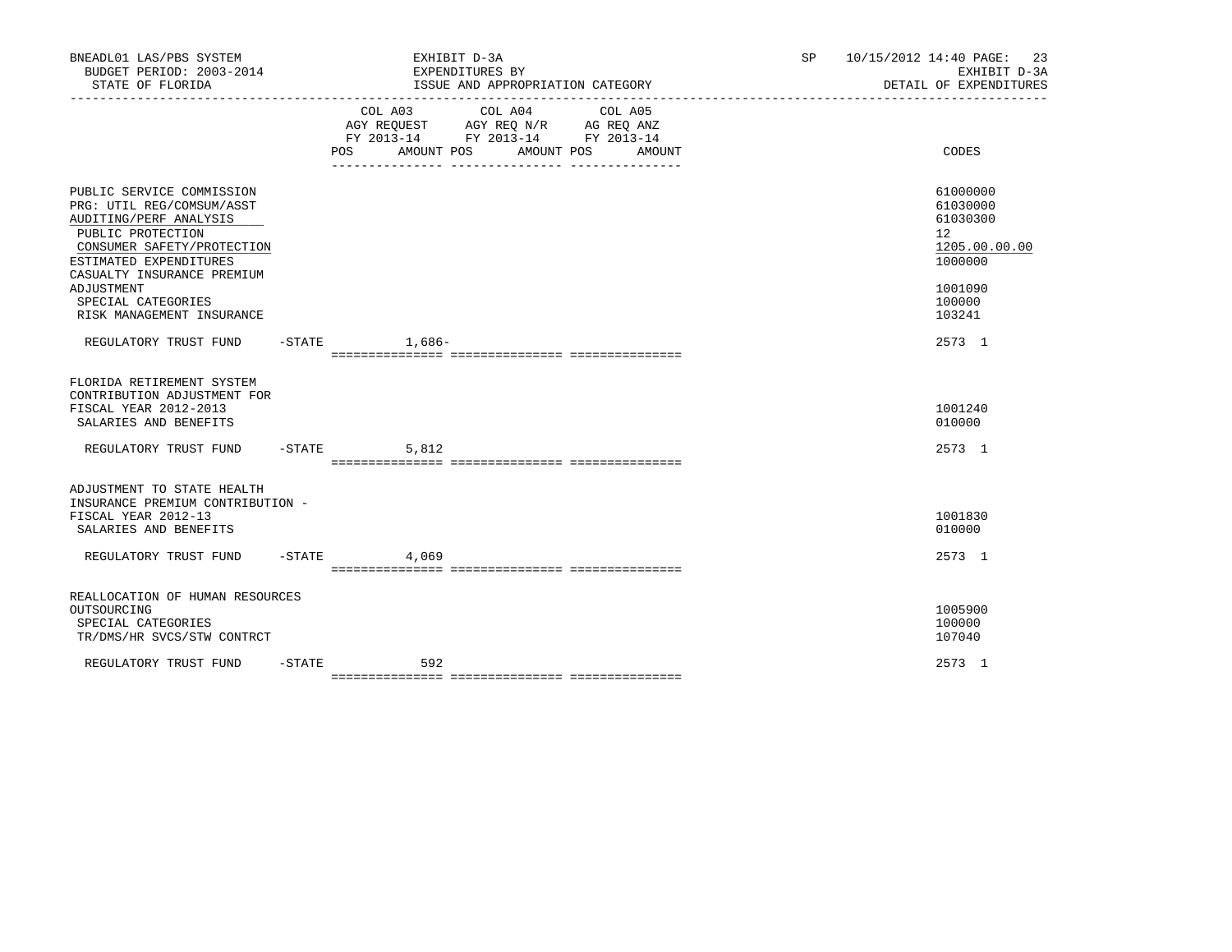| BNEADL01 LAS/PBS SYSTEM<br>BUDGET PERIOD: 2003-2014<br>STATE OF FLORIDA                                                                                                                                                                                      |           | EXHIBIT D-3A<br>EXPENDITURES BY<br>ISSUE AND APPROPRIATION CATEGORY                                                                                  | SP | 10/15/2012 14:40 PAGE: 23<br>EXHIBIT D-3A<br>DETAIL OF EXPENDITURES                               |
|--------------------------------------------------------------------------------------------------------------------------------------------------------------------------------------------------------------------------------------------------------------|-----------|------------------------------------------------------------------------------------------------------------------------------------------------------|----|---------------------------------------------------------------------------------------------------|
|                                                                                                                                                                                                                                                              |           | COL A03<br>COL A04<br>COL A05<br>AGY REQUEST AGY REQ N/R AG REQ ANZ<br>FY 2013-14 FY 2013-14 FY 2013-14<br>AMOUNT POS<br>AMOUNT POS<br>POS<br>AMOUNT |    | CODES                                                                                             |
| PUBLIC SERVICE COMMISSION<br>PRG: UTIL REG/COMSUM/ASST<br>AUDITING/PERF ANALYSIS<br>PUBLIC PROTECTION<br>CONSUMER SAFETY/PROTECTION<br>ESTIMATED EXPENDITURES<br>CASUALTY INSURANCE PREMIUM<br>ADJUSTMENT<br>SPECIAL CATEGORIES<br>RISK MANAGEMENT INSURANCE |           |                                                                                                                                                      |    | 61000000<br>61030000<br>61030300<br>12<br>1205.00.00.00<br>1000000<br>1001090<br>100000<br>103241 |
| REGULATORY TRUST FUND -STATE 1,686-                                                                                                                                                                                                                          |           |                                                                                                                                                      |    | 2573 1                                                                                            |
| FLORIDA RETIREMENT SYSTEM<br>CONTRIBUTION ADJUSTMENT FOR<br>FISCAL YEAR 2012-2013<br>SALARIES AND BENEFITS                                                                                                                                                   |           |                                                                                                                                                      |    | 1001240<br>010000                                                                                 |
| REGULATORY TRUST FUND -STATE                                                                                                                                                                                                                                 |           | 5,812                                                                                                                                                |    | 2573 1                                                                                            |
| ADJUSTMENT TO STATE HEALTH<br>INSURANCE PREMIUM CONTRIBUTION -<br>FISCAL YEAR 2012-13<br>SALARIES AND BENEFITS<br>REGULATORY TRUST FUND                                                                                                                      |           | $-$ STATE 4,069                                                                                                                                      |    | 1001830<br>010000<br>2573 1                                                                       |
| REALLOCATION OF HUMAN RESOURCES                                                                                                                                                                                                                              |           |                                                                                                                                                      |    |                                                                                                   |
| OUTSOURCING<br>SPECIAL CATEGORIES<br>TR/DMS/HR SVCS/STW CONTRCT                                                                                                                                                                                              |           |                                                                                                                                                      |    | 1005900<br>100000<br>107040                                                                       |
| REGULATORY TRUST FUND                                                                                                                                                                                                                                        | $-$ STATE | 592                                                                                                                                                  |    | 2573 1                                                                                            |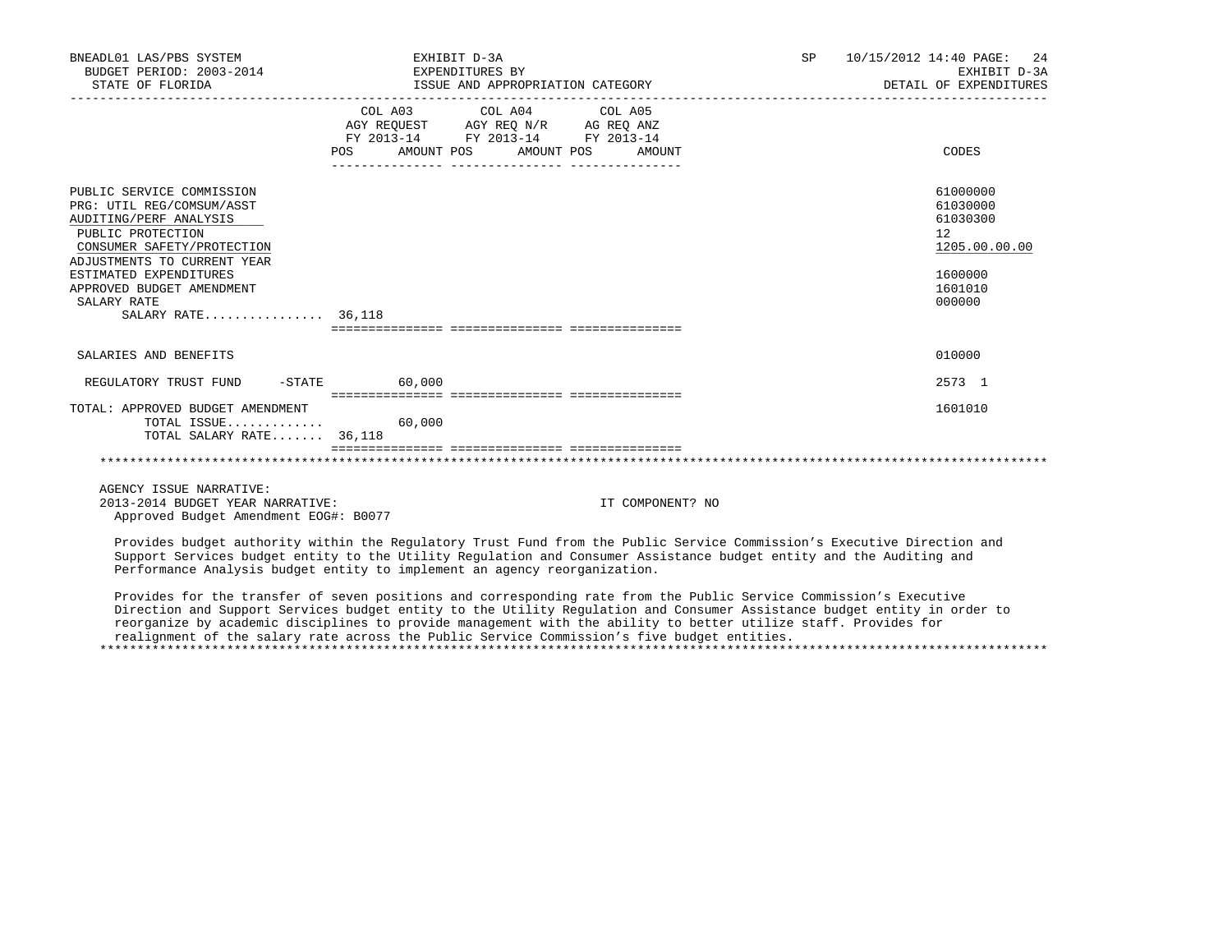| BNEADL01 LAS/PBS SYSTEM<br>BUDGET PERIOD: 2003-2014<br>STATE OF FLORIDA                                                                                                                                                                                        | EXHIBIT D-3A<br>EXPENDITURES BY<br>ISSUE AND APPROPRIATION CATEGORY                                                                   | SP 10/15/2012 14:40 PAGE:<br>2.4<br>EXHIBIT D-3A<br>DETAIL OF EXPENDITURES              |
|----------------------------------------------------------------------------------------------------------------------------------------------------------------------------------------------------------------------------------------------------------------|---------------------------------------------------------------------------------------------------------------------------------------|-----------------------------------------------------------------------------------------|
|                                                                                                                                                                                                                                                                | COL A03 COL A04 COL A05<br>AGY REQUEST AGY REQ N/R AG REQ ANZ<br>FY 2013-14 FY 2013-14 FY 2013-14<br>POS AMOUNT POS AMOUNT POS AMOUNT | CODES                                                                                   |
| PUBLIC SERVICE COMMISSION<br>PRG: UTIL REG/COMSUM/ASST<br>AUDITING/PERF ANALYSIS<br>PUBLIC PROTECTION<br>CONSUMER SAFETY/PROTECTION<br>ADJUSTMENTS TO CURRENT YEAR<br>ESTIMATED EXPENDITURES<br>APPROVED BUDGET AMENDMENT<br>SALARY RATE<br>SALARY RATE 36,118 |                                                                                                                                       | 61000000<br>61030000<br>61030300<br>12<br>1205.00.00.00<br>1600000<br>1601010<br>000000 |
| SALARIES AND BENEFITS                                                                                                                                                                                                                                          |                                                                                                                                       | 010000                                                                                  |
| REGULATORY TRUST FUND                                                                                                                                                                                                                                          | $-STATE$ 60,000                                                                                                                       | 2573 1                                                                                  |
| TOTAL: APPROVED BUDGET AMENDMENT<br>TOTAL ISSUE<br>TOTAL SALARY RATE 36,118                                                                                                                                                                                    | 60,000                                                                                                                                | 1601010                                                                                 |
|                                                                                                                                                                                                                                                                |                                                                                                                                       |                                                                                         |
| AGENCY ISSUE NARRATIVE:<br>2013-2014 BUDGET YEAR NARRATIVE:<br>Approved Budget Amendment EOG#: B0077                                                                                                                                                           | IT COMPONENT? NO                                                                                                                      |                                                                                         |

 Provides budget authority within the Regulatory Trust Fund from the Public Service Commission's Executive Direction and Support Services budget entity to the Utility Regulation and Consumer Assistance budget entity and the Auditing and Performance Analysis budget entity to implement an agency reorganization.

 Provides for the transfer of seven positions and corresponding rate from the Public Service Commission's Executive Direction and Support Services budget entity to the Utility Regulation and Consumer Assistance budget entity in order to reorganize by academic disciplines to provide management with the ability to better utilize staff. Provides for realignment of the salary rate across the Public Service Commission's five budget entities. \*\*\*\*\*\*\*\*\*\*\*\*\*\*\*\*\*\*\*\*\*\*\*\*\*\*\*\*\*\*\*\*\*\*\*\*\*\*\*\*\*\*\*\*\*\*\*\*\*\*\*\*\*\*\*\*\*\*\*\*\*\*\*\*\*\*\*\*\*\*\*\*\*\*\*\*\*\*\*\*\*\*\*\*\*\*\*\*\*\*\*\*\*\*\*\*\*\*\*\*\*\*\*\*\*\*\*\*\*\*\*\*\*\*\*\*\*\*\*\*\*\*\*\*\*\*\*